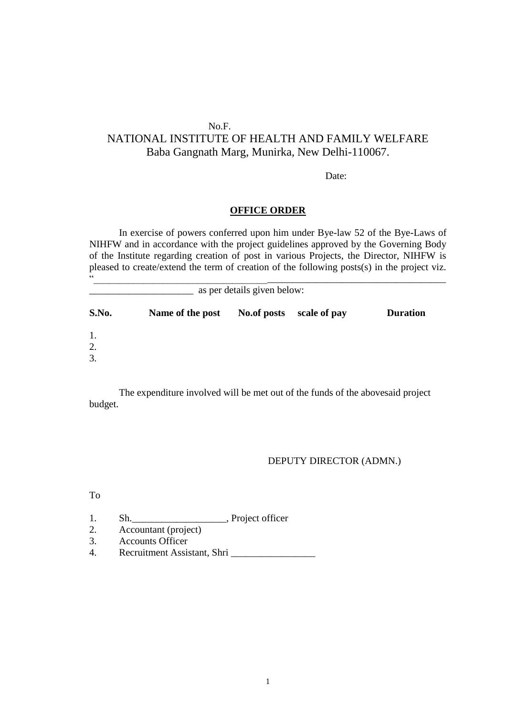# No.F.

# NATIONAL INSTITUTE OF HEALTH AND FAMILY WELFARE Baba Gangnath Marg, Munirka, New Delhi-110067.

Date:

#### **OFFICE ORDER**

In exercise of powers conferred upon him under Bye-law 52 of the Bye-Laws of NIHFW and in accordance with the project guidelines approved by the Governing Body of the Institute regarding creation of post in various Projects, the Director, NIHFW is pleased to create/extend the term of creation of the following posts(s) in the project viz.

| 66<br>as per details given below: |                  |             |              |                 |  |  |
|-----------------------------------|------------------|-------------|--------------|-----------------|--|--|
| S.No.                             | Name of the post | No.of posts | scale of pay | <b>Duration</b> |  |  |
| 1.                                |                  |             |              |                 |  |  |
| 2.<br>3.                          |                  |             |              |                 |  |  |

The expenditure involved will be met out of the funds of the abovesaid project budget.

### DEPUTY DIRECTOR (ADMN.)

To

- 1. Sh. \_\_\_\_\_\_\_\_\_\_\_\_\_\_\_\_, Project officer
- 2. Accountant (project)
- 3. Accounts Officer
- 4. Recruitment Assistant, Shri \_\_\_\_\_\_\_\_\_\_\_\_\_\_\_\_\_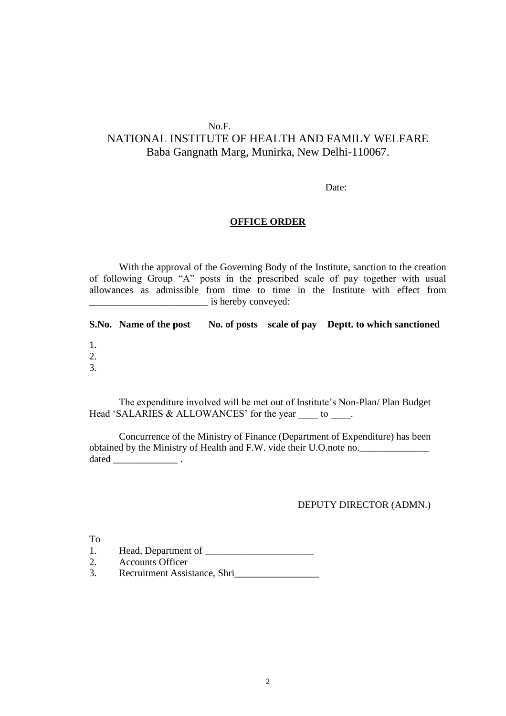# No.F.

# NATIONAL INSTITUTE OF HEALTH AND FAMILY WELFARE Baba Gangnath Marg, Munirka, New Delhi-110067.

Date:

#### **OFFICE ORDER**

With the approval of the Governing Body of the Institute, sanction to the creation of following Group "A" posts in the prescribed scale of pay together with usual allowances as admissible from time to time in the Institute with effect from \_\_\_\_\_\_\_\_\_\_\_\_\_\_\_\_\_\_\_\_\_\_\_\_ is hereby conveyed:

|    | S.No. Name of the post |  | No. of posts scale of pay Deptt. to which sanctioned |
|----|------------------------|--|------------------------------------------------------|
| 1. |                        |  |                                                      |
| 2. |                        |  |                                                      |
| 3. |                        |  |                                                      |

The expenditure involved will be met out of Institute's Non-Plan/ Plan Budget Head 'SALARIES & ALLOWANCES' for the year to  $\qquad$ .

Concurrence of the Ministry of Finance (Department of Expenditure) has been obtained by the Ministry of Health and F.W. vide their U.O.note no.\_\_\_\_\_\_\_\_\_\_\_\_\_\_ dated  $\frac{1}{\sqrt{1-\frac{1}{2}}$ 

### DEPUTY DIRECTOR (ADMN.)

To

1. Head, Department of \_\_\_\_\_\_\_\_\_\_\_\_\_\_\_\_\_\_\_\_\_\_

- 2. Accounts Officer
- 3. Recruitment Assistance, Shri\_\_\_\_\_\_\_\_\_\_\_\_\_\_\_\_\_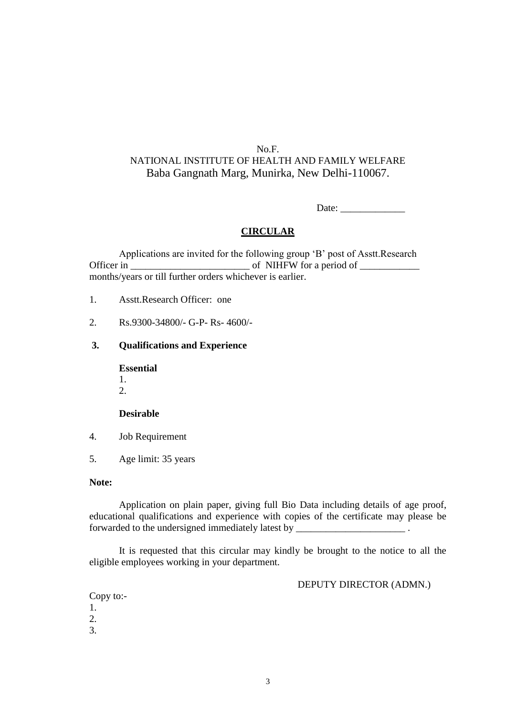Date: \_\_\_\_\_\_\_\_\_\_\_\_\_

#### **CIRCULAR**

Applications are invited for the following group 'B' post of Asstt.Research Officer in \_\_\_\_\_\_\_\_\_\_\_\_\_\_\_\_\_\_\_\_\_\_\_\_ of NIHFW for a period of \_\_\_\_\_\_\_\_\_\_\_\_ months/years or till further orders whichever is earlier.

- 1. Asstt.Research Officer: one
- 2. Rs.9300-34800/- G-P- Rs- 4600/-

#### **3. Qualifications and Experience**

**Essential**

- 1.
- 2.

#### **Desirable**

- 4. Job Requirement
- 5. Age limit: 35 years

### **Note:**

Application on plain paper, giving full Bio Data including details of age proof, educational qualifications and experience with copies of the certificate may please be forwarded to the undersigned immediately latest by \_\_\_\_\_\_\_\_\_\_\_\_\_\_\_\_\_\_\_\_\_\_\_\_\_\_\_\_\_\_

It is requested that this circular may kindly be brought to the notice to all the eligible employees working in your department.

DEPUTY DIRECTOR (ADMN.)

Copy to:- 1. 2. 3.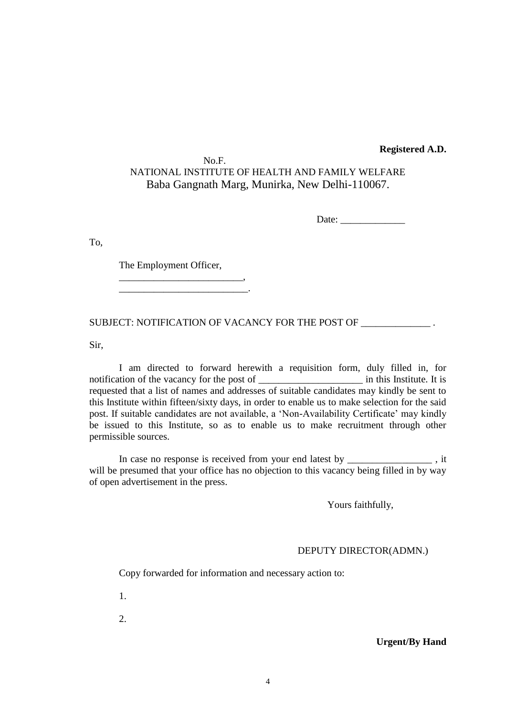#### **Registered A.D.**

### No.F. NATIONAL INSTITUTE OF HEALTH AND FAMILY WELFARE Baba Gangnath Marg, Munirka, New Delhi-110067.

Date:

To,

The Employment Officer,

\_\_\_\_\_\_\_\_\_\_\_\_\_\_\_\_\_\_\_\_\_\_\_\_\_, \_\_\_\_\_\_\_\_\_\_\_\_\_\_\_\_\_\_\_\_\_\_\_\_\_\_.

SUBJECT: NOTIFICATION OF VACANCY FOR THE POST OF \_\_\_\_\_\_\_\_\_\_\_\_\_\_\_\_.

Sir,

I am directed to forward herewith a requisition form, duly filled in, for notification of the vacancy for the post of  $\qquad$  in this Institute. It is requested that a list of names and addresses of suitable candidates may kindly be sent to this Institute within fifteen/sixty days, in order to enable us to make selection for the said post. If suitable candidates are not available, a 'Non-Availability Certificate' may kindly be issued to this Institute, so as to enable us to make recruitment through other permissible sources.

In case no response is received from your end latest by \_\_\_\_\_\_\_\_\_\_\_\_\_\_\_\_, it will be presumed that your office has no objection to this vacancy being filled in by way of open advertisement in the press.

Yours faithfully,

#### DEPUTY DIRECTOR(ADMN.)

Copy forwarded for information and necessary action to:

1.

2.

#### **Urgent/By Hand**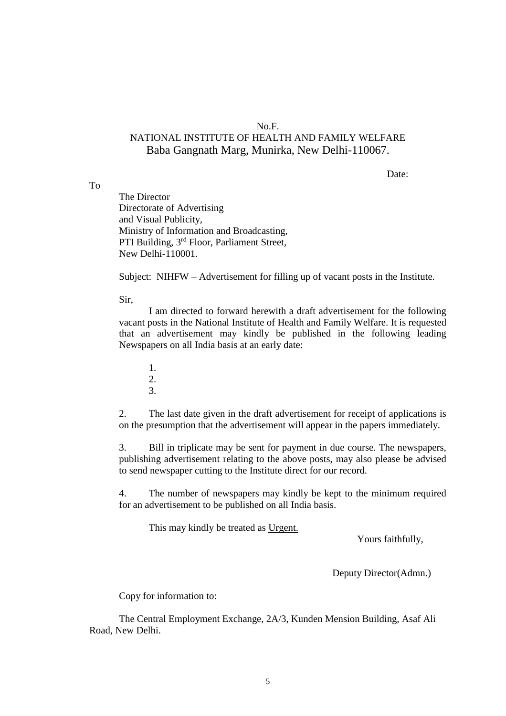#### No.F.

# NATIONAL INSTITUTE OF HEALTH AND FAMILY WELFARE Baba Gangnath Marg, Munirka, New Delhi-110067.

Date:

The Director Directorate of Advertising and Visual Publicity, Ministry of Information and Broadcasting, PTI Building, 3rd Floor, Parliament Street, New Delhi-110001.

Subject: NIHFW – Advertisement for filling up of vacant posts in the Institute.

Sir,

To

I am directed to forward herewith a draft advertisement for the following vacant posts in the National Institute of Health and Family Welfare. It is requested that an advertisement may kindly be published in the following leading Newspapers on all India basis at an early date:

1. 2. 3.

2. The last date given in the draft advertisement for receipt of applications is on the presumption that the advertisement will appear in the papers immediately.

3. Bill in triplicate may be sent for payment in due course. The newspapers, publishing advertisement relating to the above posts, may also please be advised to send newspaper cutting to the Institute direct for our record.

4. The number of newspapers may kindly be kept to the minimum required for an advertisement to be published on all India basis.

This may kindly be treated as Urgent.

Yours faithfully,

Deputy Director(Admn.)

Copy for information to:

The Central Employment Exchange, 2A/3, Kunden Mension Building, Asaf Ali Road, New Delhi.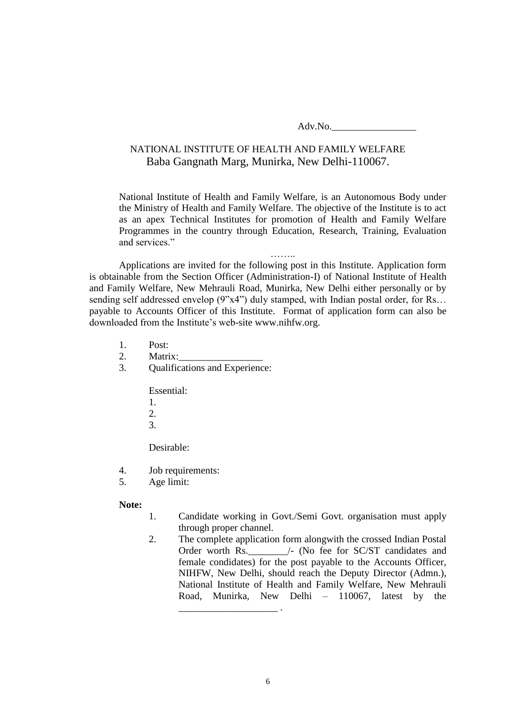Adv.No.\_\_\_\_\_\_\_\_\_\_\_\_\_\_\_\_\_

# NATIONAL INSTITUTE OF HEALTH AND FAMILY WELFARE Baba Gangnath Marg, Munirka, New Delhi-110067.

National Institute of Health and Family Welfare, is an Autonomous Body under the Ministry of Health and Family Welfare. The objective of the Institute is to act as an apex Technical Institutes for promotion of Health and Family Welfare Programmes in the country through Education, Research, Training, Evaluation and services."

……..

Applications are invited for the following post in this Institute. Application form is obtainable from the Section Officer (Administration-I) of National Institute of Health and Family Welfare, New Mehrauli Road, Munirka, New Delhi either personally or by sending self addressed envelop (9"x4") duly stamped, with Indian postal order, for Rs... payable to Accounts Officer of this Institute. Format of application form can also be downloaded from the Institute's web-site www.nihfw.org.

- 1. Post:
- 2. Matrix:
- 3. Qualifications and Experience:

Essential:

- 1.  $2<sup>1</sup>$
- 
- 3.

Desirable:

- 4. Job requirements:
- 5. Age limit:

#### **Note:**

- 1. Candidate working in Govt./Semi Govt. organisation must apply through proper channel.
- 2. The complete application form alongwith the crossed Indian Postal Order worth Rs.  $/$ - (No fee for SC/ST candidates and female condidates) for the post payable to the Accounts Officer, NIHFW, New Delhi, should reach the Deputy Director (Admn.), National Institute of Health and Family Welfare, New Mehrauli Road, Munirka, New Delhi – 110067, latest by the

\_\_\_\_\_\_\_\_\_\_\_\_\_\_\_\_\_\_\_\_ .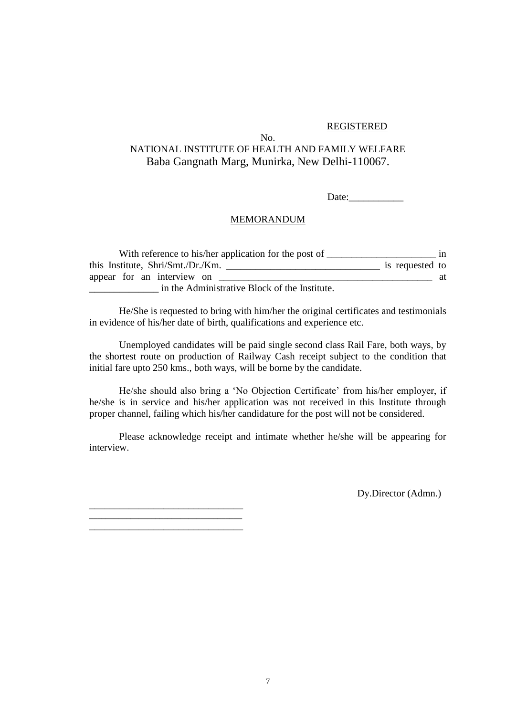#### REGISTERED

### No. NATIONAL INSTITUTE OF HEALTH AND FAMILY WELFARE Baba Gangnath Marg, Munirka, New Delhi-110067.

 $Date:$ 

#### MEMORANDUM

| With reference to his/her application for the post of | 1n              |
|-------------------------------------------------------|-----------------|
| this Institute, Shri/Smt./Dr./Km.                     | is requested to |
| appear for an interview on                            | at              |
| in the Administrative Block of the Institute.         |                 |

He/She is requested to bring with him/her the original certificates and testimonials in evidence of his/her date of birth, qualifications and experience etc.

Unemployed candidates will be paid single second class Rail Fare, both ways, by the shortest route on production of Railway Cash receipt subject to the condition that initial fare upto 250 kms., both ways, will be borne by the candidate.

He/she should also bring a 'No Objection Certificate' from his/her employer, if he/she is in service and his/her application was not received in this Institute through proper channel, failing which his/her candidature for the post will not be considered.

Please acknowledge receipt and intimate whether he/she will be appearing for interview.

Dy.Director (Admn.)

\_\_\_\_\_\_\_\_\_\_\_\_\_\_\_\_\_\_\_\_\_\_\_\_\_\_\_\_\_\_\_ \_\_\_\_\_\_\_\_\_\_\_\_\_\_\_\_\_\_\_\_\_\_\_\_\_\_\_\_\_\_\_\_\_\_\_\_\_ \_\_\_\_\_\_\_\_\_\_\_\_\_\_\_\_\_\_\_\_\_\_\_\_\_\_\_\_\_\_\_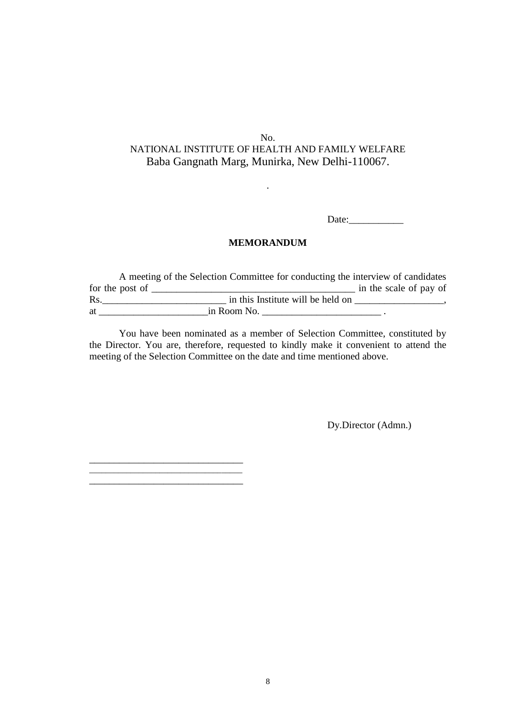.

Date:

#### **MEMORANDUM**

A meeting of the Selection Committee for conducting the interview of candidates for the post of  $\frac{1}{\sqrt{2}}$  of  $\frac{1}{\sqrt{2}}$  in the scale of pay of Rs.  $\frac{1}{\sqrt{1-\frac{1}{\sqrt{1-\frac{1}{\sqrt{1-\frac{1}{\sqrt{1-\frac{1}{\sqrt{1-\frac{1}{\sqrt{1-\frac{1}{\sqrt{1-\frac{1}{\sqrt{1-\frac{1}{\sqrt{1-\frac{1}{\sqrt{1-\frac{1}{\sqrt{1-\frac{1}{\sqrt{1-\frac{1}{\sqrt{1-\frac{1}{\sqrt{1-\frac{1}{\sqrt{1-\frac{1}{\sqrt{1-\frac{1}{\sqrt{1-\frac{1}{\sqrt{1-\frac{1}{\sqrt{1-\frac{1}{\sqrt{1-\frac{1}{\sqrt{1-\frac{1}{\sqrt{1-\frac{1}{\sqrt{1-\frac{1}{\sqrt{1$ at  $\frac{1}{\sin \text{Room No}}$ .

You have been nominated as a member of Selection Committee, constituted by the Director. You are, therefore, requested to kindly make it convenient to attend the meeting of the Selection Committee on the date and time mentioned above.

\_\_\_\_\_\_\_\_\_\_\_\_\_\_\_\_\_\_\_\_\_\_\_\_\_\_\_\_\_\_\_ \_\_\_\_\_\_\_\_\_\_\_\_\_\_\_\_\_\_\_\_\_\_\_\_\_\_\_\_\_\_\_\_\_\_\_\_\_

Dy.Director (Admn.)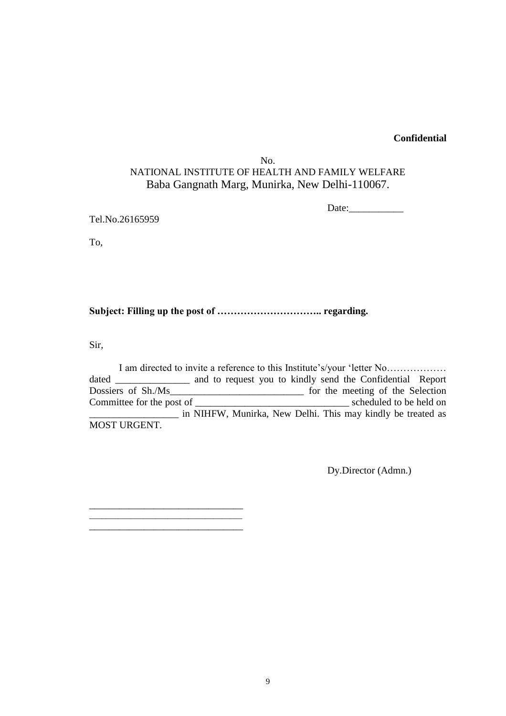### **Confidential**

### No. NATIONAL INSTITUTE OF HEALTH AND FAMILY WELFARE Baba Gangnath Marg, Munirka, New Delhi-110067.

Date:\_\_\_\_\_\_\_\_\_\_\_

Tel.No.26165959

\_\_\_\_\_\_\_\_\_\_\_\_\_\_\_\_\_\_\_\_\_\_\_\_\_\_\_\_\_\_\_ \_\_\_\_\_\_\_\_\_\_\_\_\_\_\_\_\_\_\_\_\_\_\_\_\_\_\_\_\_\_\_\_\_\_\_\_\_ \_\_\_\_\_\_\_\_\_\_\_\_\_\_\_\_\_\_\_\_\_\_\_\_\_\_\_\_\_\_\_

To,

**Subject: Filling up the post of ………………………….. regarding.**

Sir,

I am directed to invite a reference to this Institute's/your 'letter No……………… dated \_\_\_\_\_\_\_\_\_\_\_\_\_\_\_ and to request you to kindly send the Confidential Report Dossiers of Sh./Ms\_\_\_\_\_\_\_\_\_\_\_\_\_\_\_\_\_\_\_\_\_\_\_\_\_\_\_ for the meeting of the Selection Committee for the post of \_\_\_\_\_\_\_\_\_\_\_\_\_\_\_\_\_\_\_\_\_\_\_\_\_\_\_\_\_\_\_ scheduled to be held on \_\_\_\_\_\_\_\_\_\_\_\_\_\_\_\_\_\_ in NIHFW, Munirka, New Delhi. This may kindly be treated as MOST URGENT.

Dy.Director (Admn.)

9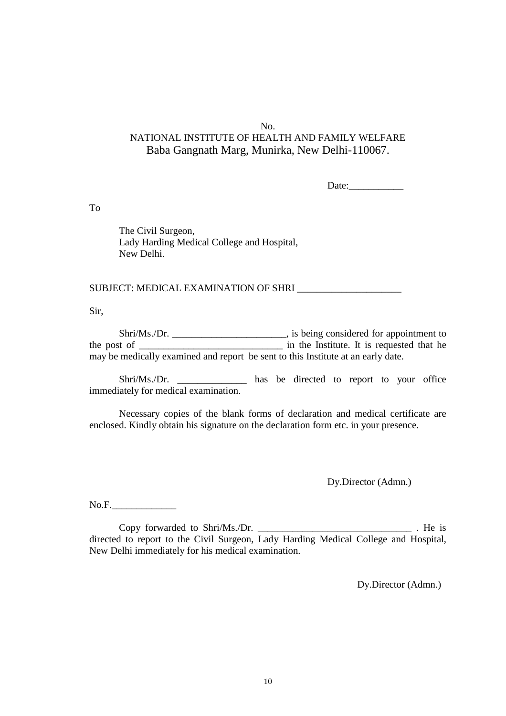Date:

To

The Civil Surgeon, Lady Harding Medical College and Hospital, New Delhi.

SUBJECT: MEDICAL EXAMINATION OF SHRI **with the contract of the contract of the contract of the contract of the contract of the contract of the contract of the contract of the contract of the contract of the contract of the** 

Sir,

Shri/Ms./Dr. \_\_\_\_\_\_\_\_\_\_\_\_\_\_\_\_\_\_\_\_\_\_\_\_\_, is being considered for appointment to the post of \_\_\_\_\_\_\_\_\_\_\_\_\_\_\_\_\_\_\_\_\_\_\_\_\_\_\_\_\_ in the Institute. It is requested that he may be medically examined and report be sent to this Institute at an early date.

Shri/Ms./Dr. \_\_\_\_\_\_\_\_\_\_\_\_\_\_\_ has be directed to report to your office immediately for medical examination.

Necessary copies of the blank forms of declaration and medical certificate are enclosed. Kindly obtain his signature on the declaration form etc. in your presence.

Dy.Director (Admn.)

No.F.\_\_\_\_\_\_\_\_\_\_\_\_\_

Copy forwarded to Shri/Ms./Dr. \_\_\_\_\_\_\_\_\_\_\_\_\_\_\_\_\_\_\_\_\_\_\_\_\_\_\_\_\_\_\_ . He is directed to report to the Civil Surgeon, Lady Harding Medical College and Hospital, New Delhi immediately for his medical examination.

Dy.Director (Admn.)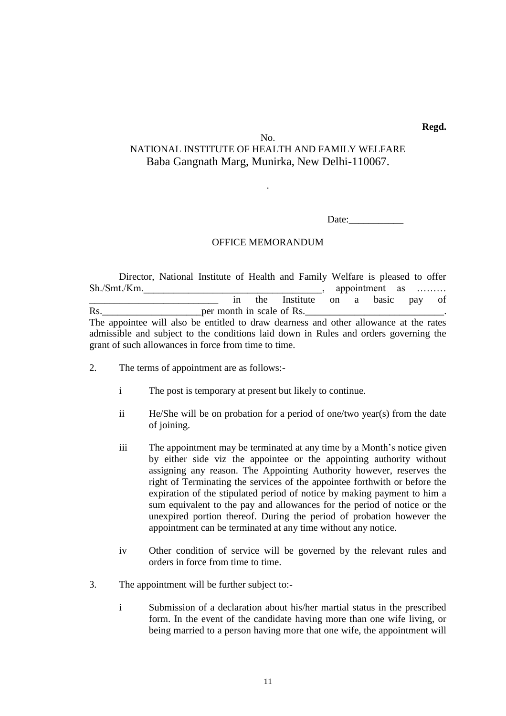**Regd.**

### No. NATIONAL INSTITUTE OF HEALTH AND FAMILY WELFARE Baba Gangnath Marg, Munirka, New Delhi-110067.

.

Date:

#### OFFICE MEMORANDUM

Director, National Institute of Health and Family Welfare is pleased to offer Sh./Smt./Km. appointment as  $\sim$  . The appointment as  $\sim$  . Appointment as  $\sim$ in the Institute on a basic pay of Rs.\_\_\_\_\_\_\_\_\_\_\_\_\_\_\_\_\_\_\_\_per month in scale of Rs.\_\_\_\_\_\_\_\_\_\_\_\_\_\_\_\_\_\_\_\_\_\_\_\_\_\_\_\_. The appointee will also be entitled to draw dearness and other allowance at the rates admissible and subject to the conditions laid down in Rules and orders governing the grant of such allowances in force from time to time.

- 2. The terms of appointment are as follows:
	- i The post is temporary at present but likely to continue.
	- ii He/She will be on probation for a period of one/two year(s) from the date of joining.
	- iii The appointment may be terminated at any time by a Month's notice given by either side viz the appointee or the appointing authority without assigning any reason. The Appointing Authority however, reserves the right of Terminating the services of the appointee forthwith or before the expiration of the stipulated period of notice by making payment to him a sum equivalent to the pay and allowances for the period of notice or the unexpired portion thereof. During the period of probation however the appointment can be terminated at any time without any notice.
	- iv Other condition of service will be governed by the relevant rules and orders in force from time to time.
- 3. The appointment will be further subject to:
	- i Submission of a declaration about his/her martial status in the prescribed form. In the event of the candidate having more than one wife living, or being married to a person having more that one wife, the appointment will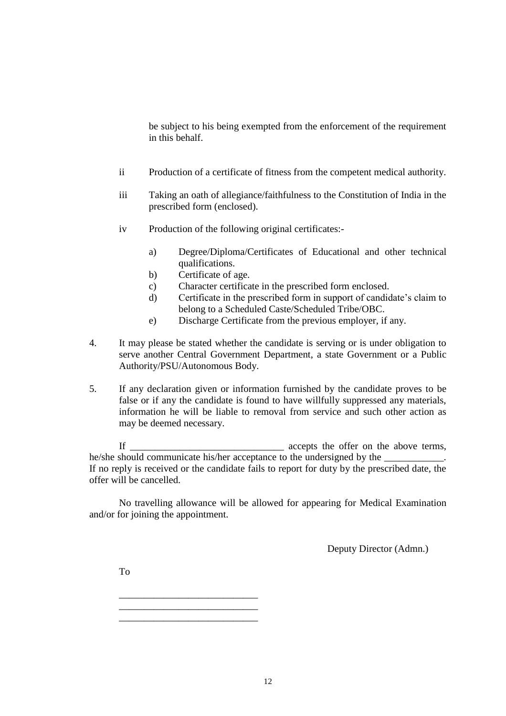be subject to his being exempted from the enforcement of the requirement in this behalf.

- ii Production of a certificate of fitness from the competent medical authority.
- iii Taking an oath of allegiance/faithfulness to the Constitution of India in the prescribed form (enclosed).
- iv Production of the following original certificates:
	- a) Degree/Diploma/Certificates of Educational and other technical qualifications.
	- b) Certificate of age.
	- c) Character certificate in the prescribed form enclosed.
	- d) Certificate in the prescribed form in support of candidate's claim to belong to a Scheduled Caste/Scheduled Tribe/OBC.
	- e) Discharge Certificate from the previous employer, if any.
- 4. It may please be stated whether the candidate is serving or is under obligation to serve another Central Government Department, a state Government or a Public Authority/PSU/Autonomous Body.
- 5. If any declaration given or information furnished by the candidate proves to be false or if any the candidate is found to have willfully suppressed any materials, information he will be liable to removal from service and such other action as may be deemed necessary.

If \_\_\_\_\_\_\_\_\_\_\_\_\_\_\_\_\_\_\_\_\_\_\_\_\_\_\_\_\_\_\_ accepts the offer on the above terms, he/she should communicate his/her acceptance to the undersigned by the If no reply is received or the candidate fails to report for duty by the prescribed date, the offer will be cancelled.

No travelling allowance will be allowed for appearing for Medical Examination and/or for joining the appointment.

Deputy Director (Admn.)

To

\_\_\_\_\_\_\_\_\_\_\_\_\_\_\_\_\_\_\_\_\_\_\_\_\_\_\_\_ \_\_\_\_\_\_\_\_\_\_\_\_\_\_\_\_\_\_\_\_\_\_\_\_\_\_\_\_ \_\_\_\_\_\_\_\_\_\_\_\_\_\_\_\_\_\_\_\_\_\_\_\_\_\_\_\_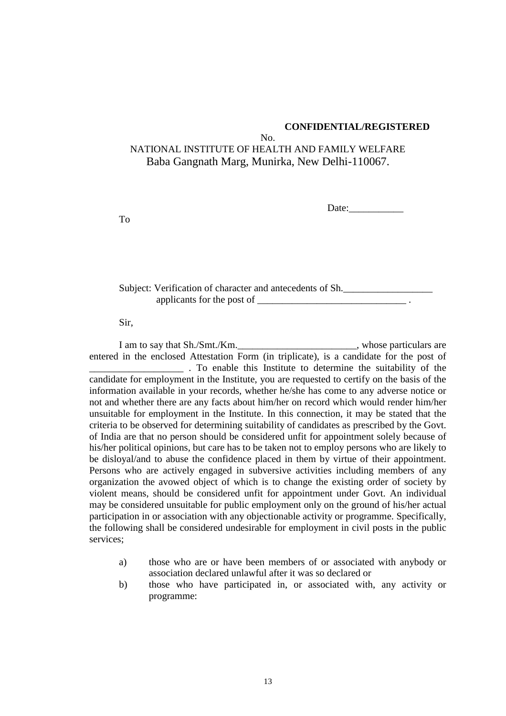#### **CONFIDENTIAL/REGISTERED**

# No.

# NATIONAL INSTITUTE OF HEALTH AND FAMILY WELFARE Baba Gangnath Marg, Munirka, New Delhi-110067.

Date:\_\_\_\_\_\_\_\_\_\_\_

To

Subject: Verification of character and antecedents of Sh. applicants for the post of \_\_\_\_\_\_\_\_\_\_\_\_\_\_\_\_\_\_\_\_\_\_\_\_\_\_\_\_\_\_ .

Sir,

I am to say that Sh./Smt./Km. example 1 whose particulars are entered in the enclosed Attestation Form (in triplicate), is a candidate for the post of \_\_\_\_\_\_\_\_\_\_\_\_\_\_\_\_\_\_\_ . To enable this Institute to determine the suitability of the candidate for employment in the Institute, you are requested to certify on the basis of the information available in your records, whether he/she has come to any adverse notice or not and whether there are any facts about him/her on record which would render him/her unsuitable for employment in the Institute. In this connection, it may be stated that the criteria to be observed for determining suitability of candidates as prescribed by the Govt. of India are that no person should be considered unfit for appointment solely because of his/her political opinions, but care has to be taken not to employ persons who are likely to be disloyal/and to abuse the confidence placed in them by virtue of their appointment. Persons who are actively engaged in subversive activities including members of any organization the avowed object of which is to change the existing order of society by violent means, should be considered unfit for appointment under Govt. An individual may be considered unsuitable for public employment only on the ground of his/her actual participation in or association with any objectionable activity or programme. Specifically, the following shall be considered undesirable for employment in civil posts in the public services;

- a) those who are or have been members of or associated with anybody or association declared unlawful after it was so declared or
- b) those who have participated in, or associated with, any activity or programme: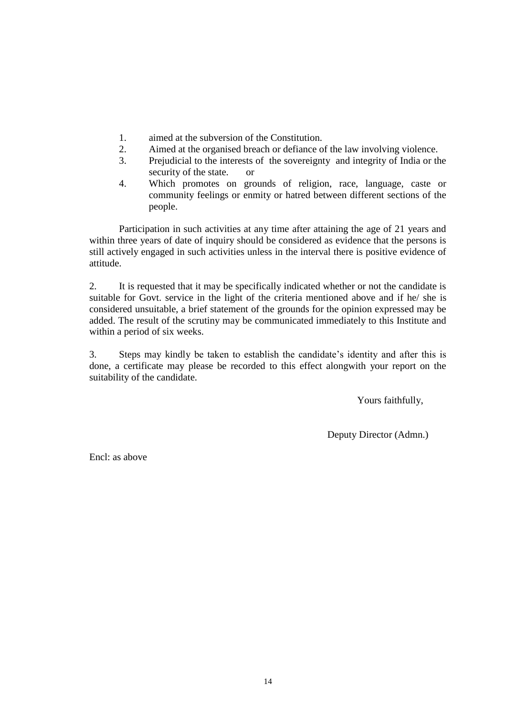- 1. aimed at the subversion of the Constitution.
- 2. Aimed at the organised breach or defiance of the law involving violence.
- 3. Prejudicial to the interests of the sovereignty and integrity of India or the security of the state. or
- 4. Which promotes on grounds of religion, race, language, caste or community feelings or enmity or hatred between different sections of the people.

Participation in such activities at any time after attaining the age of 21 years and within three years of date of inquiry should be considered as evidence that the persons is still actively engaged in such activities unless in the interval there is positive evidence of attitude.

2. It is requested that it may be specifically indicated whether or not the candidate is suitable for Govt. service in the light of the criteria mentioned above and if he/ she is considered unsuitable, a brief statement of the grounds for the opinion expressed may be added. The result of the scrutiny may be communicated immediately to this Institute and within a period of six weeks.

3. Steps may kindly be taken to establish the candidate's identity and after this is done, a certificate may please be recorded to this effect alongwith your report on the suitability of the candidate.

Yours faithfully,

Deputy Director (Admn.)

Encl: as above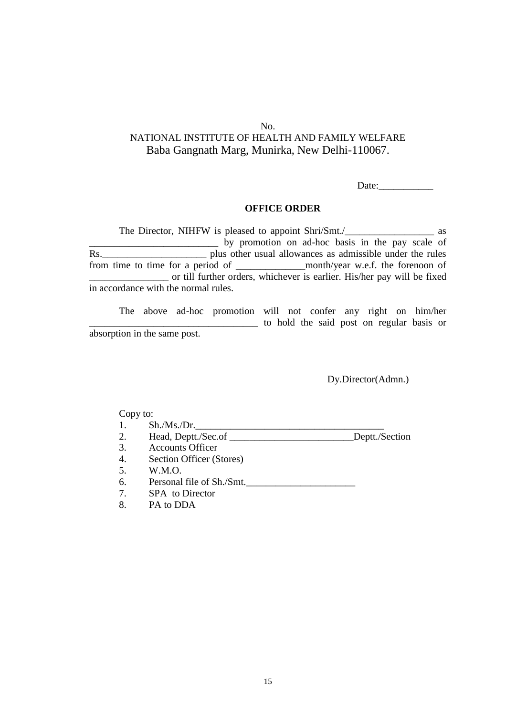Date:

#### **OFFICE ORDER**

The Director, NIHFW is pleased to appoint Shri/Smt./\_\_\_\_\_\_\_\_\_\_\_\_\_\_\_\_\_\_\_\_\_\_\_\_\_\_\_\_ as by promotion on ad-hoc basis in the pay scale of Rs.\_\_\_\_\_\_\_\_\_\_\_\_\_\_\_\_\_\_\_\_\_ plus other usual allowances as admissible under the rules from time to time for a period of \_\_\_\_\_\_\_\_\_\_\_\_\_\_month/year w.e.f. the forenoon of \_\_\_\_\_\_\_\_\_\_\_\_\_\_\_\_ or till further orders, whichever is earlier. His/her pay will be fixed in accordance with the normal rules.

The above ad-hoc promotion will not confer any right on him/her \_\_\_\_\_\_\_\_\_\_\_\_\_\_\_\_\_\_\_\_\_\_\_\_\_\_\_\_\_\_\_\_\_\_ to hold the said post on regular basis or absorption in the same post.

Dy.Director(Admn.)

- $1.$  Sh./Ms./Dr.
- 2. Head, Deptt./Sec.of \_\_\_\_\_\_\_\_\_\_\_\_\_\_\_\_\_\_\_\_\_\_\_\_\_Deptt./Section
- 3. Accounts Officer
- 4. Section Officer (Stores)
- 5. W.M.O.
- 6. Personal file of Sh./Smt.\_\_\_\_\_\_\_\_\_\_\_\_\_\_\_\_\_\_\_\_\_\_
- 7. SPA to Director
- 8. PA to DDA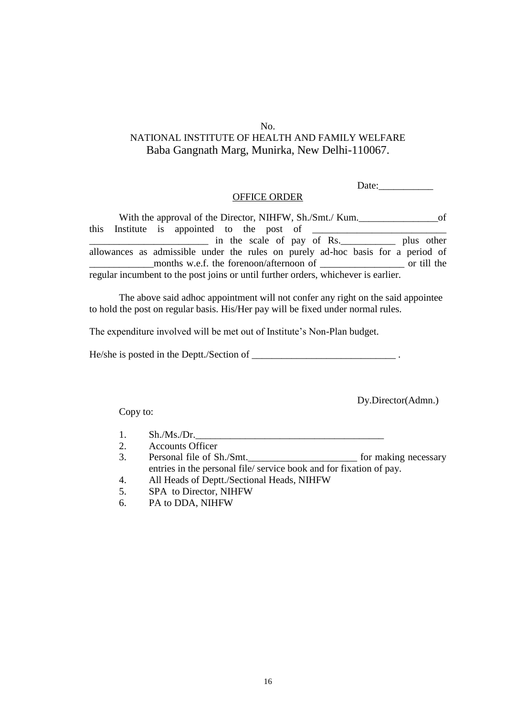Date:

#### OFFICE ORDER

With the approval of the Director, NIHFW, Sh./Smt./ Kum. this Institute is appointed to the post of in the scale of pay of Rs. plus other allowances as admissible under the rules on purely ad-hoc basis for a period of \_\_\_\_\_\_\_\_\_\_\_\_\_months w.e.f. the forenoon/afternoon of \_\_\_\_\_\_\_\_\_\_\_\_\_\_\_\_\_ or till the regular incumbent to the post joins or until further orders, whichever is earlier.

The above said adhoc appointment will not confer any right on the said appointee to hold the post on regular basis. His/Her pay will be fixed under normal rules.

The expenditure involved will be met out of Institute's Non-Plan budget.

He/she is posted in the Deptt./Section of  $\blacksquare$ 

Dy.Director(Admn.)

- $1.$  Sh./Ms./Dr.
- 2. Accounts Officer
- 3. Personal file of Sh./Smt. 6 for making necessary entries in the personal file/ service book and for fixation of pay.
- 4. All Heads of Deptt./Sectional Heads, NIHFW
- 5. SPA to Director, NIHFW
- 6. PA to DDA, NIHFW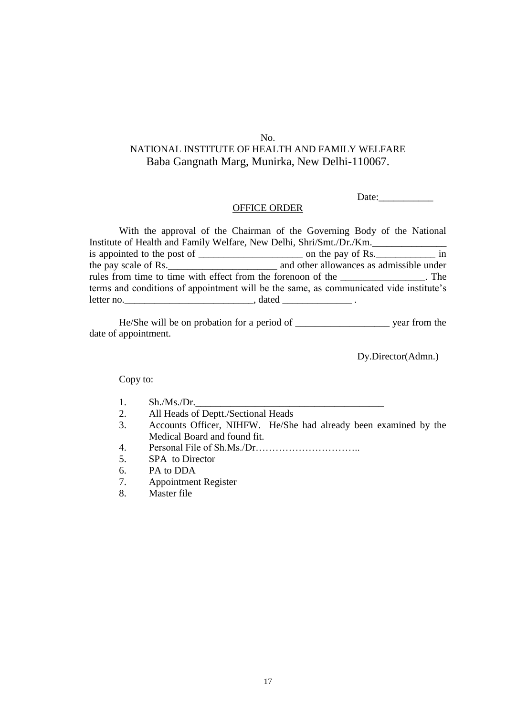#### No.

# NATIONAL INSTITUTE OF HEALTH AND FAMILY WELFARE Baba Gangnath Marg, Munirka, New Delhi-110067.

Date:

#### OFFICE ORDER

With the approval of the Chairman of the Governing Body of the National Institute of Health and Family Welfare, New Delhi, Shri/Smt./Dr./Km. is appointed to the post of \_\_\_\_\_\_\_\_\_\_\_\_\_\_\_\_\_\_\_\_\_\_\_\_\_\_ on the pay of Rs.\_\_\_\_\_\_\_\_\_\_\_\_\_\_\_\_\_ in the pay scale of Rs.\_\_\_\_\_\_\_\_\_\_\_\_\_\_\_\_\_\_\_\_\_\_ and other allowances as admissible under rules from time to time with effect from the forenoon of the \_\_\_\_\_\_\_\_\_\_\_\_\_\_\_\_\_. The terms and conditions of appointment will be the same, as communicated vide institute's letter no.

He/She will be on probation for a period of \_\_\_\_\_\_\_\_\_\_\_\_\_\_\_\_\_\_\_ year from the date of appointment.

Dy.Director(Admn.)

- $1.$  Sh./Ms./Dr.
- 2. All Heads of Deptt./Sectional Heads
- 3. Accounts Officer, NIHFW. He/She had already been examined by the Medical Board and found fit.
- 4. Personal File of Sh.Ms./Dr…………………………..
- 5. SPA to Director
- 6. PA to DDA
- 7. Appointment Register
- 8. Master file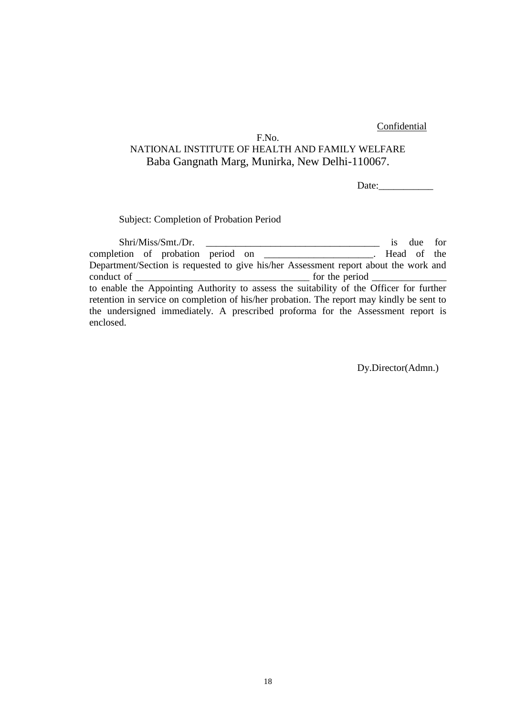#### Confidential

### F.No. NATIONAL INSTITUTE OF HEALTH AND FAMILY WELFARE Baba Gangnath Marg, Munirka, New Delhi-110067.

Date:

#### Subject: Completion of Probation Period

Shri/Miss/Smt./Dr. \_\_\_\_\_\_\_\_\_\_\_\_\_\_\_\_\_\_\_\_\_\_\_\_\_\_\_\_\_\_\_\_\_\_\_ is due for completion of probation period on \_\_\_\_\_\_\_\_\_\_\_\_\_\_\_\_\_\_\_\_\_\_. Head of the Department/Section is requested to give his/her Assessment report about the work and conduct of \_\_\_\_\_\_\_\_\_\_\_\_\_\_\_\_\_\_\_\_\_\_\_\_\_\_\_\_\_\_\_\_\_\_\_ for the period \_\_\_\_\_\_\_\_\_\_\_\_\_\_\_ to enable the Appointing Authority to assess the suitability of the Officer for further retention in service on completion of his/her probation. The report may kindly be sent to the undersigned immediately. A prescribed proforma for the Assessment report is enclosed.

Dy.Director(Admn.)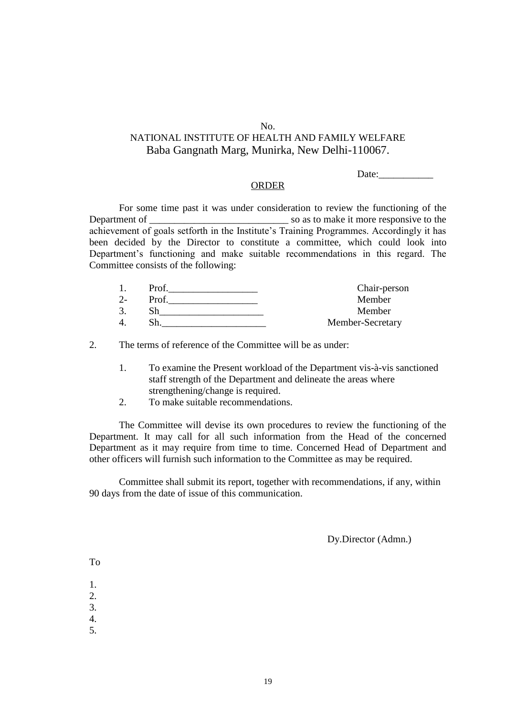#### No.

# NATIONAL INSTITUTE OF HEALTH AND FAMILY WELFARE Baba Gangnath Marg, Munirka, New Delhi-110067.

Date:  $\qquad \qquad \qquad$ 

#### ORDER

For some time past it was under consideration to review the functioning of the Department of  $\sim$  so as to make it more responsive to the achievement of goals setforth in the Institute's Training Programmes. Accordingly it has been decided by the Director to constitute a committee, which could look into Department's functioning and make suitable recommendations in this regard. The Committee consists of the following:

|    | Prof  | Chair-person     |
|----|-------|------------------|
| 2- | Prof. | Member           |
|    |       | Member           |
| 4  |       | Member-Secretary |

2. The terms of reference of the Committee will be as under:

- 1. To examine the Present workload of the Department vis-à-vis sanctioned staff strength of the Department and delineate the areas where strengthening/change is required.
- 2. To make suitable recommendations.

The Committee will devise its own procedures to review the functioning of the Department. It may call for all such information from the Head of the concerned Department as it may require from time to time. Concerned Head of Department and other officers will furnish such information to the Committee as may be required.

Committee shall submit its report, together with recommendations, if any, within 90 days from the date of issue of this communication.

Dy.Director (Admn.)

To

1.

2.

3.

4.

5.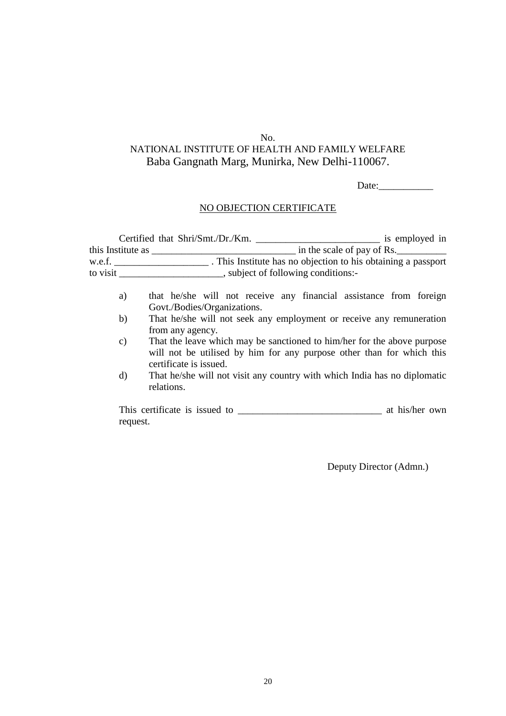# No.

# NATIONAL INSTITUTE OF HEALTH AND FAMILY WELFARE Baba Gangnath Marg, Munirka, New Delhi-110067.

Date:\_\_\_\_\_\_\_\_\_\_\_

### NO OBJECTION CERTIFICATE

|                                            | Certified that Shri/Smt./Dr./Km.<br>is employed in                                                                                                                         |  |  |  |  |
|--------------------------------------------|----------------------------------------------------------------------------------------------------------------------------------------------------------------------------|--|--|--|--|
| this Institute as $\overline{\phantom{a}}$ | in the scale of pay of Rs.                                                                                                                                                 |  |  |  |  |
|                                            |                                                                                                                                                                            |  |  |  |  |
| to visit                                   | ________________, subject of following conditions:-                                                                                                                        |  |  |  |  |
| a)                                         | that he/she will not receive any financial assistance from foreign<br>Govt./Bodies/Organizations.                                                                          |  |  |  |  |
| b)                                         | That he/she will not seek any employment or receive any remuneration<br>from any agency.                                                                                   |  |  |  |  |
| $\mathbf{c})$                              | That the leave which may be sanctioned to him/her for the above purpose<br>will not be utilised by him for any purpose other than for which this<br>certificate is issued. |  |  |  |  |
| d)                                         | That he/she will not visit any country with which India has no diplomatic<br>relations.                                                                                    |  |  |  |  |

This certificate is issued to \_\_\_\_\_\_\_\_\_\_\_\_\_\_\_\_\_\_\_\_\_\_\_\_\_\_\_\_\_ at his/her own request.

Deputy Director (Admn.)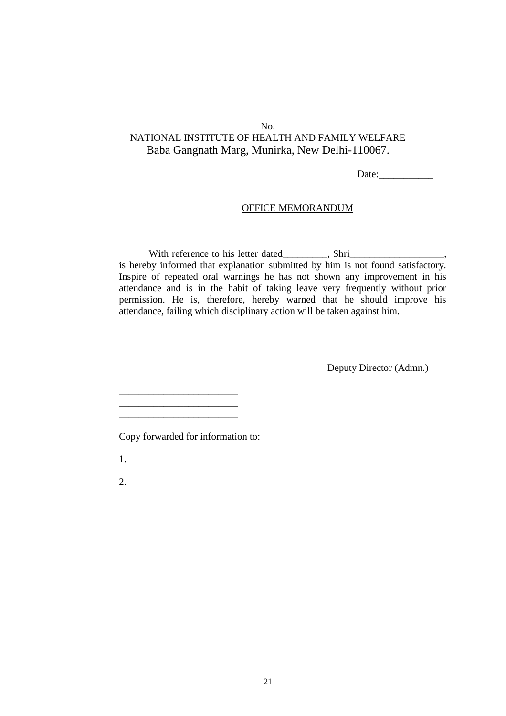Date:\_\_\_\_\_\_\_\_\_\_\_

#### OFFICE MEMORANDUM

With reference to his letter dated\_\_\_\_\_\_\_, Shri\_\_\_\_\_\_\_\_\_\_\_\_\_\_\_\_\_, is hereby informed that explanation submitted by him is not found satisfactory. Inspire of repeated oral warnings he has not shown any improvement in his attendance and is in the habit of taking leave very frequently without prior permission. He is, therefore, hereby warned that he should improve his attendance, failing which disciplinary action will be taken against him.

Deputy Director (Admn.)

Copy forwarded for information to:

\_\_\_\_\_\_\_\_\_\_\_\_\_\_\_\_\_\_\_\_\_\_\_\_ \_\_\_\_\_\_\_\_\_\_\_\_\_\_\_\_\_\_\_\_\_\_\_\_ \_\_\_\_\_\_\_\_\_\_\_\_\_\_\_\_\_\_\_\_\_\_\_\_

1.

2.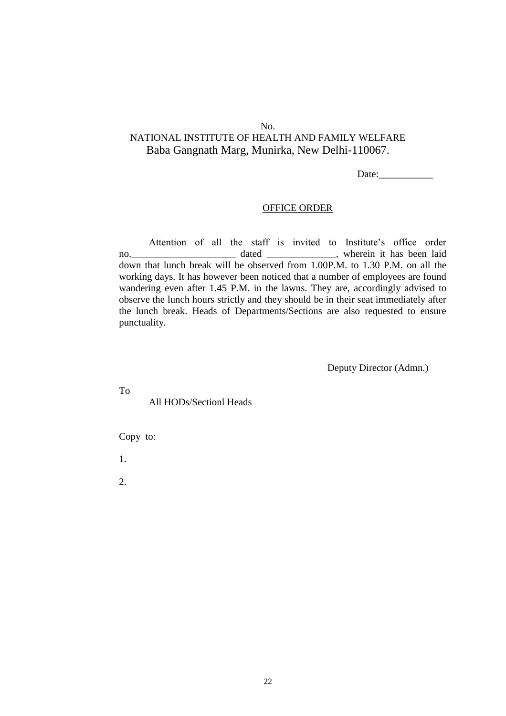Date:

#### OFFICE ORDER

Attention of all the staff is invited to Institute's office order no. \_\_\_\_\_\_\_\_\_\_\_\_\_\_\_\_\_\_\_\_\_\_\_\_\_\_ dated \_\_\_\_\_\_\_\_\_\_\_\_\_\_, wherein it has been laid down that lunch break will be observed from 1.00P.M. to 1.30 P.M. on all the working days. It has however been noticed that a number of employees are found wandering even after 1.45 P.M. in the lawns. They are, accordingly advised to observe the lunch hours strictly and they should be in their seat immediately after the lunch break. Heads of Departments/Sections are also requested to ensure punctuality.

Deputy Director (Admn.)

To

All HODs/Sectionl Heads

Copy to:

1.

2.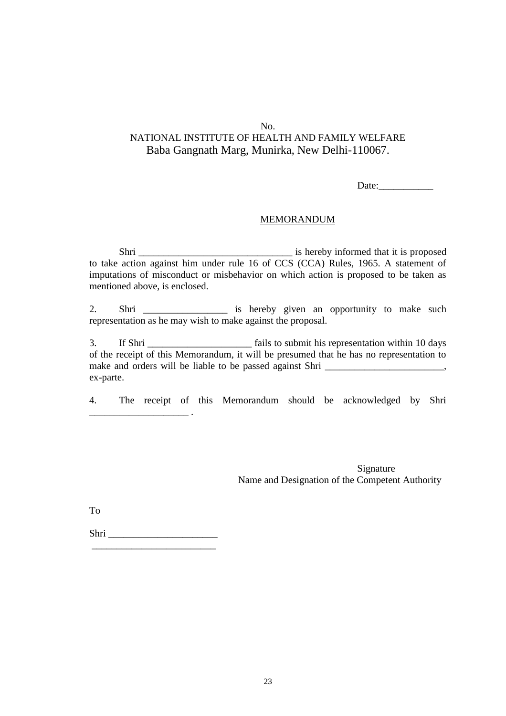Date:

#### MEMORANDUM

Shri \_\_\_\_\_\_\_\_\_\_\_\_\_\_\_\_\_\_\_\_\_\_\_\_\_\_\_\_\_\_\_ is hereby informed that it is proposed to take action against him under rule 16 of CCS (CCA) Rules, 1965. A statement of imputations of misconduct or misbehavior on which action is proposed to be taken as mentioned above, is enclosed.

2. Shri \_\_\_\_\_\_\_\_\_\_\_\_\_\_\_\_\_\_\_ is hereby given an opportunity to make such representation as he may wish to make against the proposal.

3. If Shri \_\_\_\_\_\_\_\_\_\_\_\_\_\_\_\_\_\_\_\_\_ fails to submit his representation within 10 days of the receipt of this Memorandum, it will be presumed that he has no representation to make and orders will be liable to be passed against Shri \_\_\_\_\_\_\_\_\_\_\_\_\_\_\_\_\_\_\_\_\_, ex-parte.

4. The receipt of this Memorandum should be acknowledged by Shri

Signature Name and Designation of the Competent Authority

To

Shri \_\_\_\_\_\_\_\_\_\_\_\_\_\_\_\_\_\_\_\_\_\_ \_\_\_\_\_\_\_\_\_\_\_\_\_\_\_\_\_\_\_\_\_\_\_\_\_

\_\_\_\_\_\_\_\_\_\_\_\_\_\_\_\_\_\_\_\_ .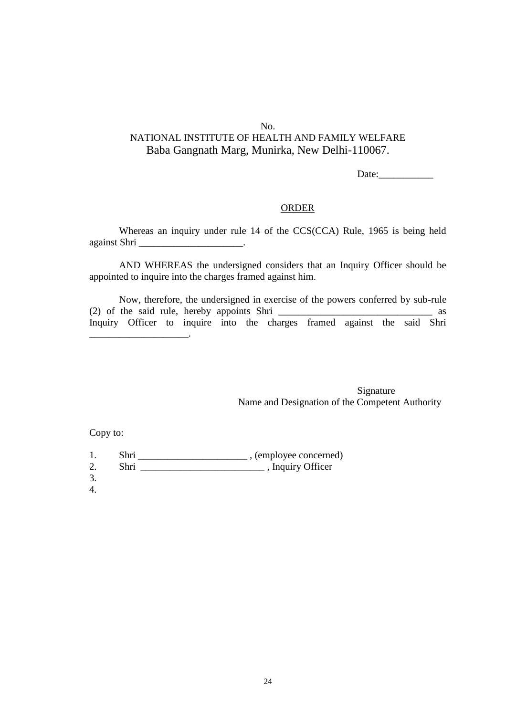Date:

#### ORDER

Whereas an inquiry under rule 14 of the CCS(CCA) Rule, 1965 is being held against Shri \_\_\_\_\_\_\_\_\_\_\_\_\_\_\_\_\_\_\_\_\_.

AND WHEREAS the undersigned considers that an Inquiry Officer should be appointed to inquire into the charges framed against him.

Now, therefore, the undersigned in exercise of the powers conferred by sub-rule (2) of the said rule, hereby appoints Shri  $\frac{1}{\sqrt{2}}$ Inquiry Officer to inquire into the charges framed against the said Shri \_\_\_\_\_\_\_\_\_\_\_\_\_\_\_\_\_\_\_\_.

> Signature Name and Designation of the Competent Authority

- 1. Shri \_\_\_\_\_\_\_\_\_\_\_\_\_\_\_\_\_\_\_\_\_\_ , (employee concerned)
- 2. Shri , Inquiry Officer
- 3.
- 4.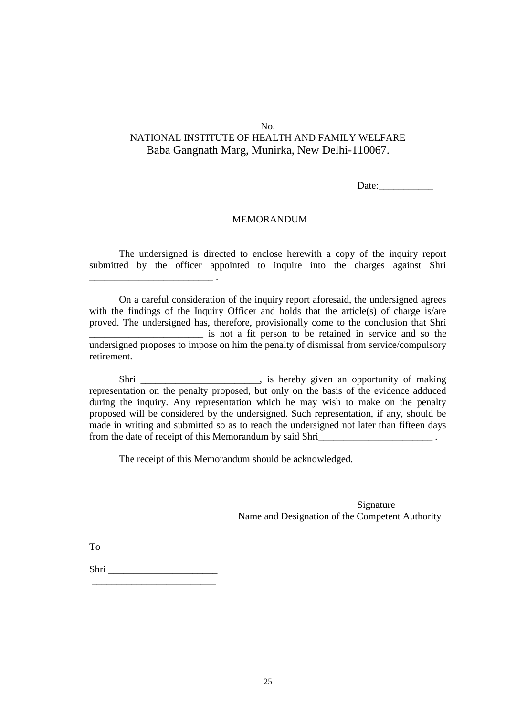Date:

#### MEMORANDUM

The undersigned is directed to enclose herewith a copy of the inquiry report submitted by the officer appointed to inquire into the charges against Shri

On a careful consideration of the inquiry report aforesaid, the undersigned agrees with the findings of the Inquiry Officer and holds that the article(s) of charge is/are proved. The undersigned has, therefore, provisionally come to the conclusion that Shri \_\_\_\_\_\_\_\_\_\_\_\_\_\_\_\_\_\_\_\_\_\_\_ is not a fit person to be retained in service and so the undersigned proposes to impose on him the penalty of dismissal from service/compulsory retirement.

Shri \_\_\_\_\_\_\_\_\_\_\_\_\_\_\_\_\_\_\_\_\_, is hereby given an opportunity of making representation on the penalty proposed, but only on the basis of the evidence adduced during the inquiry. Any representation which he may wish to make on the penalty proposed will be considered by the undersigned. Such representation, if any, should be made in writing and submitted so as to reach the undersigned not later than fifteen days from the date of receipt of this Memorandum by said Shri\_\_\_\_\_\_\_\_\_\_\_\_\_\_\_\_\_\_\_\_\_\_\_\_

The receipt of this Memorandum should be acknowledged.

Signature Name and Designation of the Competent Authority

To

Shri quantitati alla sulla sulla sulla sulla sulla sulla sulla sulla sulla sulla sulla sulla sulla sulla sulla \_\_\_\_\_\_\_\_\_\_\_\_\_\_\_\_\_\_\_\_\_\_\_\_\_

\_\_\_\_\_\_\_\_\_\_\_\_\_\_\_\_\_\_\_\_\_\_\_\_\_ .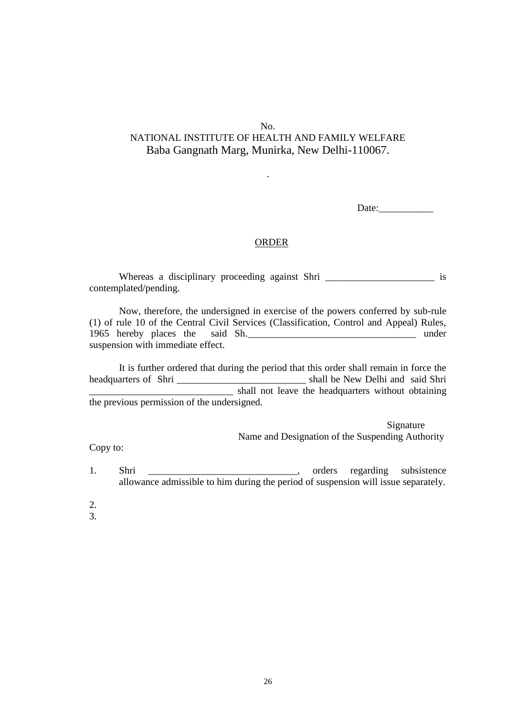.

Date:

#### ORDER

Whereas a disciplinary proceeding against Shri \_\_\_\_\_\_\_\_\_\_\_\_\_\_\_\_\_\_\_\_\_\_\_\_\_\_ is contemplated/pending.

Now, therefore, the undersigned in exercise of the powers conferred by sub-rule (1) of rule 10 of the Central Civil Services (Classification, Control and Appeal) Rules, 1965 hereby places the said Sh.\_\_\_\_\_\_\_\_\_\_\_\_\_\_\_\_\_\_\_\_\_\_\_\_\_\_\_\_\_\_\_\_\_\_ under suspension with immediate effect.

It is further ordered that during the period that this order shall remain in force the headquarters of Shri \_\_\_\_\_\_\_\_\_\_\_\_\_\_\_\_\_\_\_\_\_\_\_\_\_\_\_\_\_\_\_\_\_ shall be New Delhi and said Shri \_\_\_\_\_\_\_\_\_\_\_\_\_\_\_\_\_\_\_\_\_\_\_\_\_\_\_\_\_ shall not leave the headquarters without obtaining the previous permission of the undersigned.

> Signature Name and Designation of the Suspending Authority

Copy to:

1. Shri \_\_\_\_\_\_\_\_\_\_\_\_\_\_\_\_\_\_\_\_\_\_\_\_\_, orders regarding subsistence allowance admissible to him during the period of suspension will issue separately.

- 2.
- 3.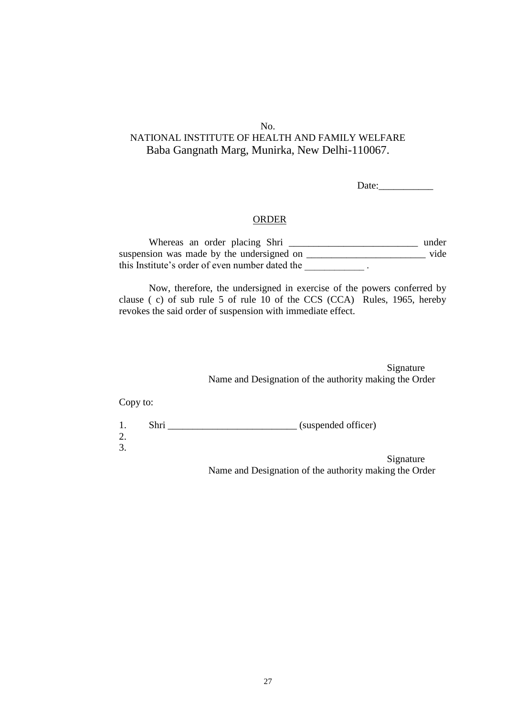Date:

#### ORDER

Whereas an order placing Shri \_\_\_\_\_\_\_\_\_\_\_\_\_\_\_\_\_\_\_\_\_\_\_\_\_\_\_\_\_\_\_\_\_\_ under suspension was made by the undersigned on \_\_\_\_\_\_\_\_\_\_\_\_\_\_\_\_\_\_\_\_\_\_\_\_\_\_\_\_\_\_\_\_\_ vide this Institute's order of even number dated the \_\_\_\_\_\_\_\_\_\_\_\_ .

Now, therefore, the undersigned in exercise of the powers conferred by clause ( c) of sub rule 5 of rule 10 of the CCS (CCA) Rules, 1965, hereby revokes the said order of suspension with immediate effect.

> Signature Name and Designation of the authority making the Order

Copy to:

| 1. | Shri | (suspended officer) |
|----|------|---------------------|
| 2. |      |                     |
| 3. |      |                     |
|    |      | $\mathbf{C}$        |

Signature Name and Designation of the authority making the Order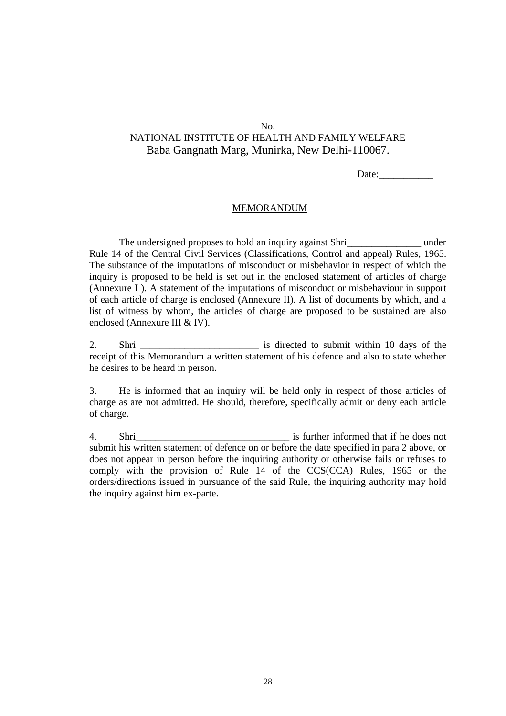Date:

#### MEMORANDUM

The undersigned proposes to hold an inquiry against Shriquet contains the under Rule 14 of the Central Civil Services (Classifications, Control and appeal) Rules, 1965. The substance of the imputations of misconduct or misbehavior in respect of which the inquiry is proposed to be held is set out in the enclosed statement of articles of charge (Annexure I ). A statement of the imputations of misconduct or misbehaviour in support of each article of charge is enclosed (Annexure II). A list of documents by which, and a list of witness by whom, the articles of charge are proposed to be sustained are also enclosed (Annexure III & IV).

2. Shri is directed to submit within 10 days of the receipt of this Memorandum a written statement of his defence and also to state whether he desires to be heard in person.

3. He is informed that an inquiry will be held only in respect of those articles of charge as are not admitted. He should, therefore, specifically admit or deny each article of charge.

4. Shri **Shri Shri** is further informed that if he does not submit his written statement of defence on or before the date specified in para 2 above, or does not appear in person before the inquiring authority or otherwise fails or refuses to comply with the provision of Rule 14 of the CCS(CCA) Rules, 1965 or the orders/directions issued in pursuance of the said Rule, the inquiring authority may hold the inquiry against him ex-parte.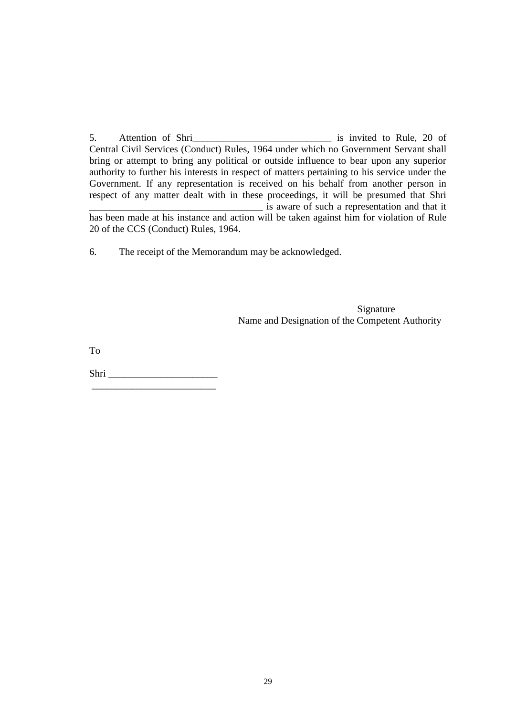5. Attention of Shri\_\_\_\_\_\_\_\_\_\_\_\_\_\_\_\_\_\_\_\_\_\_\_\_\_\_\_\_ is invited to Rule, 20 of Central Civil Services (Conduct) Rules, 1964 under which no Government Servant shall bring or attempt to bring any political or outside influence to bear upon any superior authority to further his interests in respect of matters pertaining to his service under the Government. If any representation is received on his behalf from another person in respect of any matter dealt with in these proceedings, it will be presumed that Shri \_\_\_\_\_\_\_\_\_\_\_\_\_\_\_\_\_\_\_\_\_\_\_\_\_\_\_\_\_\_\_\_\_\_\_ is aware of such a representation and that it has been made at his instance and action will be taken against him for violation of Rule 20 of the CCS (Conduct) Rules, 1964.

6. The receipt of the Memorandum may be acknowledged.

Signature Name and Designation of the Competent Authority

To

Shri \_\_\_\_\_\_\_\_\_\_\_\_\_\_\_\_\_\_\_\_\_\_ \_\_\_\_\_\_\_\_\_\_\_\_\_\_\_\_\_\_\_\_\_\_\_\_\_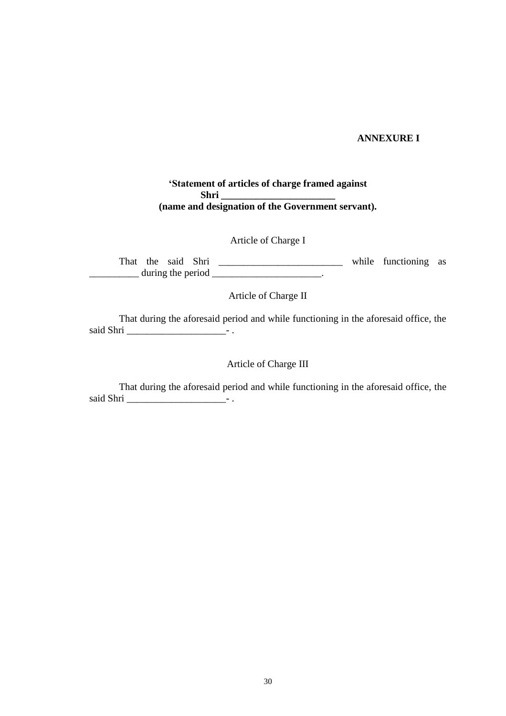### **ANNEXURE I**

### **'Statement of articles of charge framed against Shri \_\_\_\_\_\_\_\_\_\_\_\_\_\_\_\_\_\_\_\_\_\_\_ (name and designation of the Government servant).**

Article of Charge I

That the said Shri \_\_\_\_\_\_\_\_\_\_\_\_\_\_\_\_\_\_\_\_\_\_\_\_\_ while functioning as  $\frac{1}{2}$  during the period  $\frac{1}{2}$ .

Article of Charge II

That during the aforesaid period and while functioning in the aforesaid office, the said Shri \_\_\_\_\_\_\_\_\_\_\_\_\_\_\_\_\_\_\_\_- .

### Article of Charge III

That during the aforesaid period and while functioning in the aforesaid office, the said Shri \_\_\_\_\_\_\_\_\_\_\_\_\_\_\_\_\_\_\_\_- .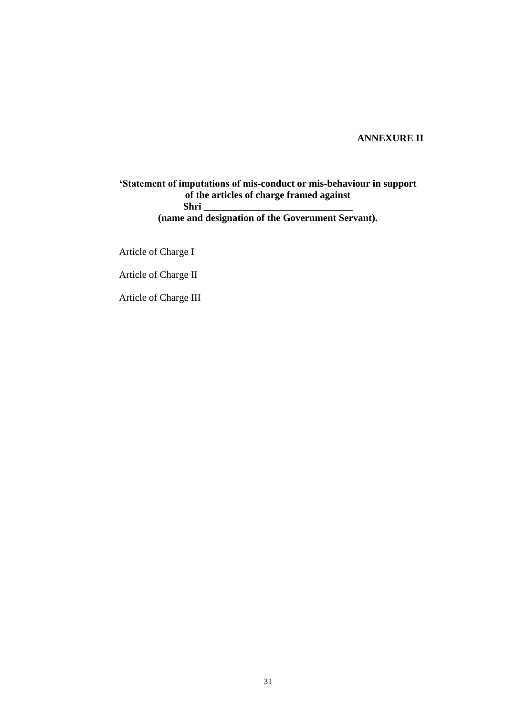### **ANNEXURE II**

**'Statement of imputations of mis-conduct or mis-behaviour in support of the articles of charge framed against Shri \_\_\_\_\_\_\_\_\_\_\_\_\_\_\_\_\_\_\_\_\_\_\_\_\_\_\_\_\_\_ (name and designation of the Government Servant).**

Article of Charge I

Article of Charge II

Article of Charge III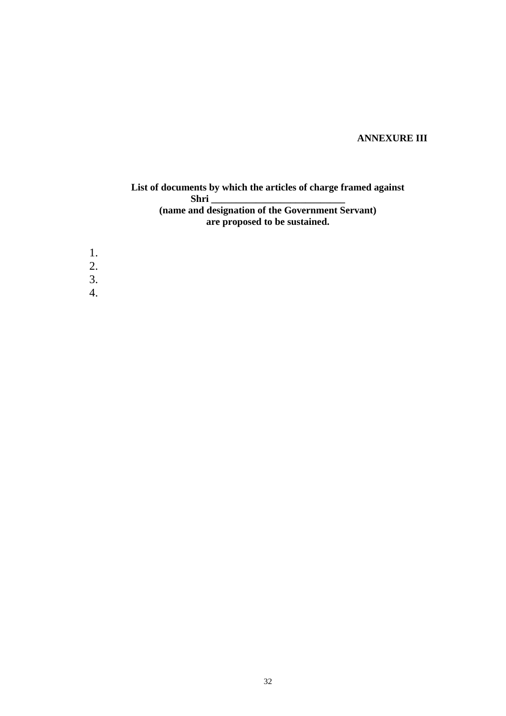# **ANNEXURE III**

### **List of documents by which the articles of charge framed against Shri \_\_\_\_\_\_\_\_\_\_\_\_\_\_\_\_\_\_\_\_\_\_\_\_\_\_\_ (name and designation of the Government Servant) are proposed to be sustained.**

1. 2. 3. 4.

32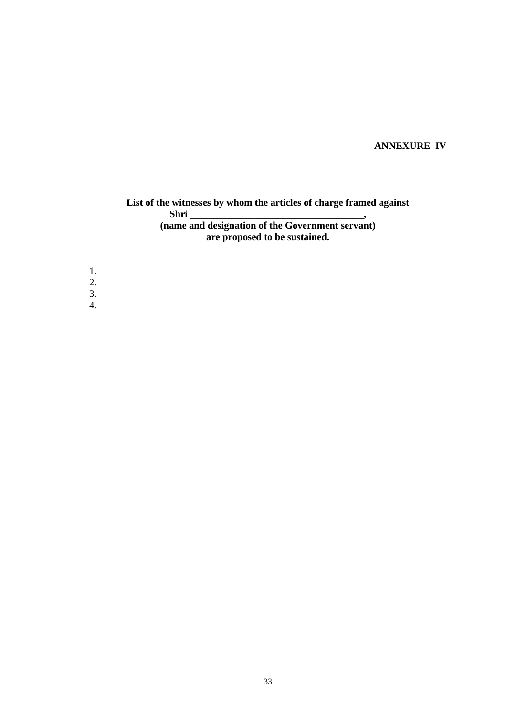# **ANNEXURE IV**

### **List of the witnesses by whom the articles of charge framed against Shri \_\_\_\_\_\_\_\_\_\_\_\_\_\_\_\_\_\_\_\_\_\_\_\_\_\_\_\_\_\_\_\_\_\_\_, (name and designation of the Government servant) are proposed to be sustained.**

1. 2. 3.

4.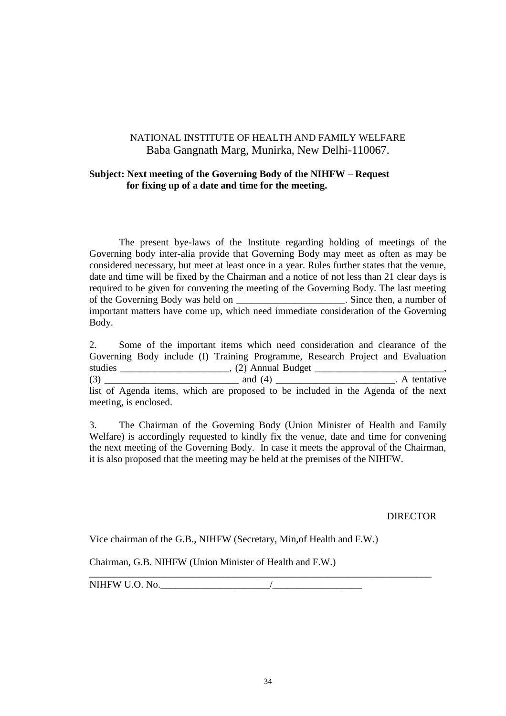### **Subject: Next meeting of the Governing Body of the NIHFW – Request for fixing up of a date and time for the meeting.**

The present bye-laws of the Institute regarding holding of meetings of the Governing body inter-alia provide that Governing Body may meet as often as may be considered necessary, but meet at least once in a year. Rules further states that the venue, date and time will be fixed by the Chairman and a notice of not less than 21 clear days is required to be given for convening the meeting of the Governing Body. The last meeting of the Governing Body was held on \_\_\_\_\_\_\_\_\_\_\_\_\_\_\_\_\_\_\_\_\_\_. Since then, a number of important matters have come up, which need immediate consideration of the Governing Body.

2. Some of the important items which need consideration and clearance of the Governing Body include (I) Training Programme, Research Project and Evaluation studies \_\_\_\_\_\_\_\_\_\_\_\_\_\_\_\_\_\_\_\_\_\_\_, (2) Annual Budget \_\_\_\_\_\_\_\_\_\_\_\_\_\_\_\_\_\_\_\_\_\_\_\_\_\_\_\_\_ (3) \_\_\_\_\_\_\_\_\_\_\_\_\_\_\_\_\_\_\_\_\_\_\_\_\_\_\_ and (4) \_\_\_\_\_\_\_\_\_\_\_\_\_\_\_\_\_\_\_\_\_\_\_\_. A tentative list of Agenda items, which are proposed to be included in the Agenda of the next meeting, is enclosed.

3. The Chairman of the Governing Body (Union Minister of Health and Family Welfare) is accordingly requested to kindly fix the venue, date and time for convening the next meeting of the Governing Body. In case it meets the approval of the Chairman, it is also proposed that the meeting may be held at the premises of the NIHFW.

DIRECTOR

Vice chairman of the G.B., NIHFW (Secretary, Min,of Health and F.W.)

Chairman, G.B. NIHFW (Union Minister of Health and F.W.)

 $NIHFW U.O. No.$ 

\_\_\_\_\_\_\_\_\_\_\_\_\_\_\_\_\_\_\_\_\_\_\_\_\_\_\_\_\_\_\_\_\_\_\_\_\_\_\_\_\_\_\_\_\_\_\_\_\_\_\_\_\_\_\_\_\_\_\_\_\_\_\_\_\_\_\_\_\_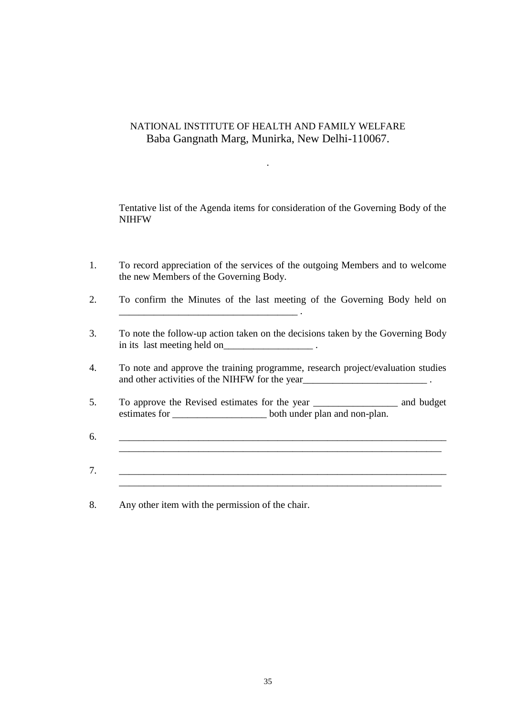.

Tentative list of the Agenda items for consideration of the Governing Body of the NIHFW

- 1. To record appreciation of the services of the outgoing Members and to welcome the new Members of the Governing Body.
- 2. To confirm the Minutes of the last meeting of the Governing Body held on \_\_\_\_\_\_\_\_\_\_\_\_\_\_\_\_\_\_\_\_\_\_\_\_\_\_\_\_\_\_\_\_\_\_\_\_ .
- 3. To note the follow-up action taken on the decisions taken by the Governing Body in its last meeting held on  $\blacksquare$
- 4. To note and approve the training programme, research project/evaluation studies and other activities of the NIHFW for the year\_\_\_\_\_\_\_\_\_\_\_\_\_\_\_\_\_\_\_\_\_\_\_\_\_ .
- 5. To approve the Revised estimates for the year \_\_\_\_\_\_\_\_\_\_\_\_\_\_\_\_\_ and budget estimates for \_\_\_\_\_\_\_\_\_\_\_\_\_\_\_\_\_\_\_\_\_\_\_\_ both under plan and non-plan.
- $6.$ \_\_\_\_\_\_\_\_\_\_\_\_\_\_\_\_\_\_\_\_\_\_\_\_\_\_\_\_\_\_\_\_\_\_\_\_\_\_\_\_\_\_\_\_\_\_\_\_\_\_\_\_\_\_\_\_\_\_\_\_\_\_\_\_\_
- $7.$ \_\_\_\_\_\_\_\_\_\_\_\_\_\_\_\_\_\_\_\_\_\_\_\_\_\_\_\_\_\_\_\_\_\_\_\_\_\_\_\_\_\_\_\_\_\_\_\_\_\_\_\_\_\_\_\_\_\_\_\_\_\_\_\_\_
- 8. Any other item with the permission of the chair.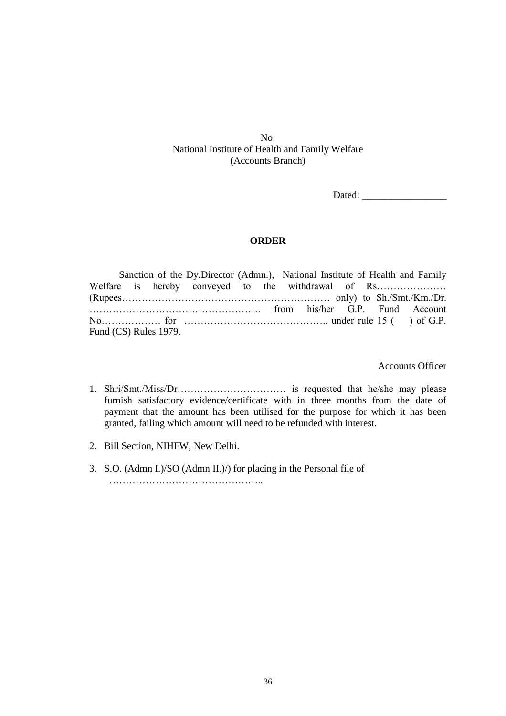No. National Institute of Health and Family Welfare (Accounts Branch)

Dated:

#### **ORDER**

Sanction of the Dy.Director (Admn.), National Institute of Health and Family Welfare is hereby conveyed to the withdrawal of Rs………………………………………………………………………………… (Rupees……………………………………………………… only) to Sh./Smt./Km./Dr. ……………………………………………. from his/her G.P. Fund Account No……………… for …………………………………….. under rule 15 ( ) of G.P. Fund (CS) Rules 1979.

Accounts Officer

- 1. Shri/Smt./Miss/Dr…………………………… is requested that he/she may please furnish satisfactory evidence/certificate with in three months from the date of payment that the amount has been utilised for the purpose for which it has been granted, failing which amount will need to be refunded with interest.
- 2. Bill Section, NIHFW, New Delhi.
- 3. S.O. (Admn I.)/SO (Admn II.)/) for placing in the Personal file of ………………………………………..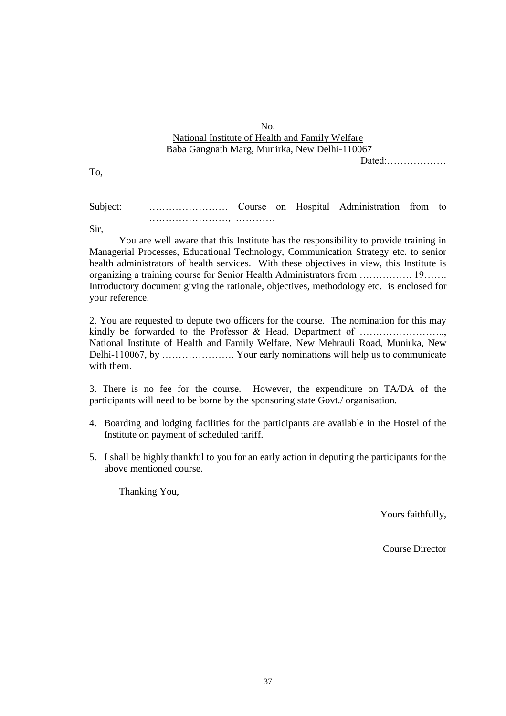### No. National Institute of Health and Family Welfare Baba Gangnath Marg, Munirka, New Delhi-110067

Dated:………………

To,

Subject: …………………… Course on Hospital Administration from to ……………………, …………

Sir,

You are well aware that this Institute has the responsibility to provide training in Managerial Processes, Educational Technology, Communication Strategy etc. to senior health administrators of health services. With these objectives in view, this Institute is organizing a training course for Senior Health Administrators from ……………. 19……. Introductory document giving the rationale, objectives, methodology etc. is enclosed for your reference.

2. You are requested to depute two officers for the course. The nomination for this may kindly be forwarded to the Professor & Head, Department of ....................... National Institute of Health and Family Welfare, New Mehrauli Road, Munirka, New Delhi-110067, by …………………. Your early nominations will help us to communicate with them.

3. There is no fee for the course. However, the expenditure on TA/DA of the participants will need to be borne by the sponsoring state Govt./ organisation.

- 4. Boarding and lodging facilities for the participants are available in the Hostel of the Institute on payment of scheduled tariff.
- 5. I shall be highly thankful to you for an early action in deputing the participants for the above mentioned course.

Thanking You,

Yours faithfully,

Course Director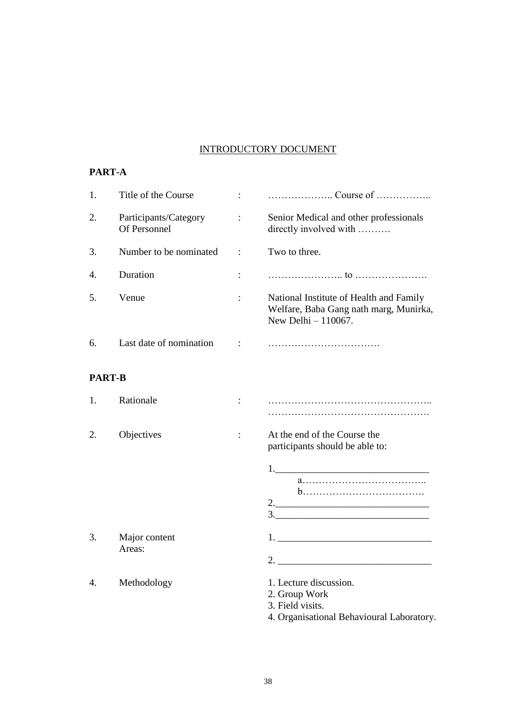# INTRODUCTORY DOCUMENT

### **PART-A**

| 1.            | Title of the Course                   |                      |                                                                                                            |
|---------------|---------------------------------------|----------------------|------------------------------------------------------------------------------------------------------------|
| 2.            | Participants/Category<br>Of Personnel | $\ddot{\cdot}$       | Senior Medical and other professionals<br>directly involved with                                           |
| 3.            | Number to be nominated                | $\ddot{\cdot}$       | Two to three.                                                                                              |
| 4.            | Duration                              | $\ddot{\cdot}$       |                                                                                                            |
| 5.            | Venue                                 |                      | National Institute of Health and Family<br>Welfare, Baba Gang nath marg, Munirka,<br>New Delhi $-110067$ . |
| 6.            | Last date of nomination               | $\ddot{\phantom{a}}$ |                                                                                                            |
| <b>PART-B</b> |                                       |                      |                                                                                                            |
| 1.            | Rationale                             |                      |                                                                                                            |
| 2.            | Objectives                            | $\ddot{\cdot}$       | At the end of the Course the<br>participants should be able to:                                            |
|               |                                       |                      | $\begin{array}{c} \n \stackrel{\text{3.}}{ \quad \quad \quad \quad } \\ \n \end{array}$                    |
| 3.            | Major content<br>Areas:               |                      |                                                                                                            |
| 4.            | Methodology                           |                      | 1. Lecture discussion.<br>2. Group Work<br>3. Field visits.<br>4. Organisational Behavioural Laboratory.   |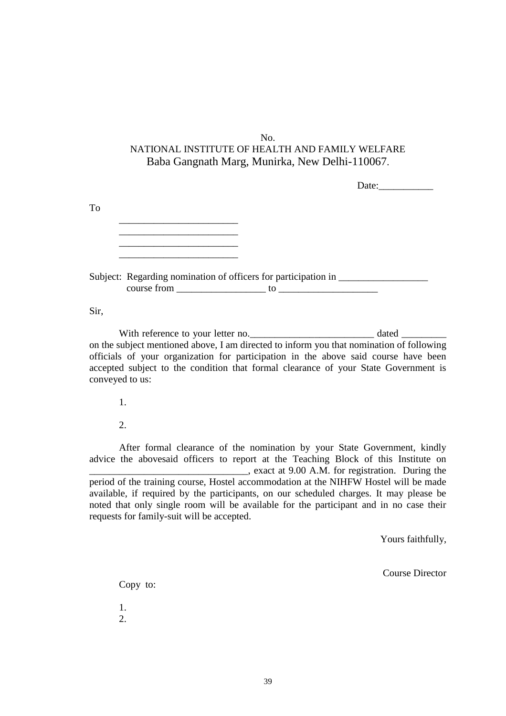| Date: |
|-------|
|       |
|       |
|       |
|       |
|       |

course from \_\_\_\_\_\_\_\_\_\_\_\_\_\_\_\_\_\_ to \_\_\_\_\_\_\_\_\_\_\_\_\_\_\_\_\_\_\_\_

Sir,

With reference to your letter no.\_\_\_\_\_\_\_\_\_\_\_\_\_\_\_\_\_\_\_\_\_\_\_\_\_\_\_\_\_\_\_\_ dated \_ on the subject mentioned above, I am directed to inform you that nomination of following officials of your organization for participation in the above said course have been accepted subject to the condition that formal clearance of your State Government is conveyed to us:

1.

2.

After formal clearance of the nomination by your State Government, kindly advice the abovesaid officers to report at the Teaching Block of this Institute on \_\_\_\_\_\_\_\_\_\_\_\_\_\_\_\_\_\_\_\_\_\_\_\_\_\_\_\_\_\_\_\_, exact at 9.00 A.M. for registration. During the period of the training course, Hostel accommodation at the NIHFW Hostel will be made available, if required by the participants, on our scheduled charges. It may please be noted that only single room will be available for the participant and in no case their requests for family-suit will be accepted.

Yours faithfully,

Course Director

Copy to:

1. 2.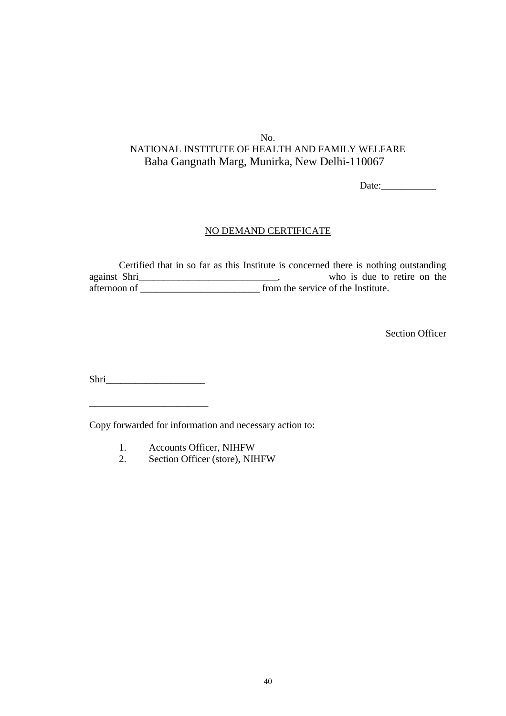Date:

### NO DEMAND CERTIFICATE

Certified that in so far as this Institute is concerned there is nothing outstanding against Shri\_\_\_\_\_\_\_\_\_\_\_\_\_\_\_\_\_\_\_\_\_\_\_\_\_\_\_\_\_, who is due to retire on the afternoon of \_\_\_\_\_\_\_\_\_\_\_\_\_\_\_\_\_\_\_\_\_\_\_\_\_\_\_\_\_\_\_ from the service of the Institute.

Section Officer

Shri

Copy forwarded for information and necessary action to:

- 1. Accounts Officer, NIHFW
- 2. Section Officer (store), NIHFW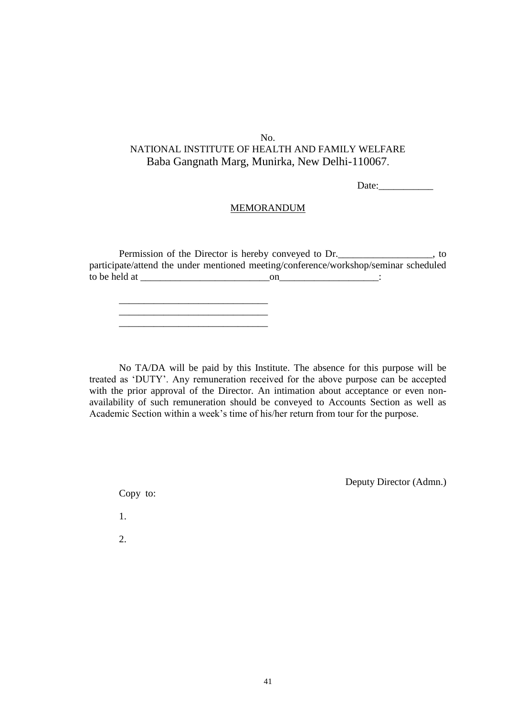Date:

#### MEMORANDUM

Permission of the Director is hereby conveyed to Dr.\_\_\_\_\_\_\_\_\_\_\_\_\_\_\_\_, to participate/attend the under mentioned meeting/conference/workshop/seminar scheduled to be held at  $\Box$  on  $\Box$ 

\_\_\_\_\_\_\_\_\_\_\_\_\_\_\_\_\_\_\_\_\_\_\_\_\_\_\_\_\_\_ \_\_\_\_\_\_\_\_\_\_\_\_\_\_\_\_\_\_\_\_\_\_\_\_\_\_\_\_\_\_

No TA/DA will be paid by this Institute. The absence for this purpose will be treated as 'DUTY'. Any remuneration received for the above purpose can be accepted with the prior approval of the Director. An intimation about acceptance or even nonavailability of such remuneration should be conveyed to Accounts Section as well as Academic Section within a week's time of his/her return from tour for the purpose.

Deputy Director (Admn.)

Copy to:

1.

2.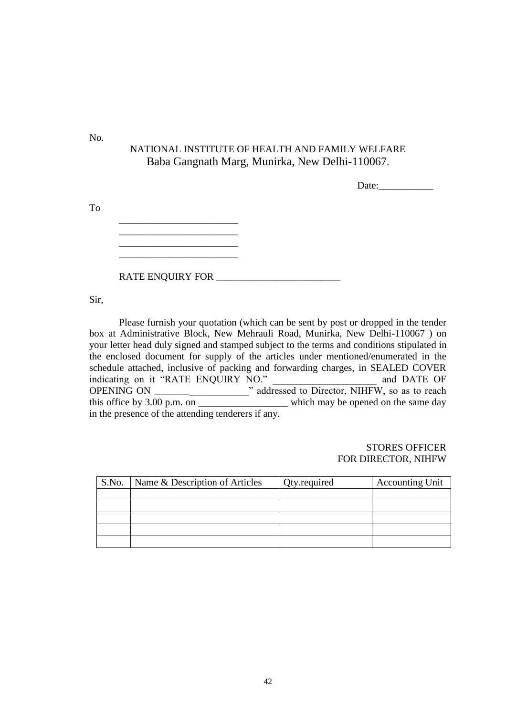No.

To

# NATIONAL INSTITUTE OF HEALTH AND FAMILY WELFARE Baba Gangnath Marg, Munirka, New Delhi-110067.

Date:

RATE ENQUIRY FOR \_\_\_\_\_\_\_\_\_\_\_\_\_\_\_\_\_\_\_\_\_\_\_\_\_

Sir,

Please furnish your quotation (which can be sent by post or dropped in the tender box at Administrative Block, New Mehrauli Road, Munirka, New Delhi-110067 ) on your letter head duly signed and stamped subject to the terms and conditions stipulated in the enclosed document for supply of the articles under mentioned/enumerated in the schedule attached, inclusive of packing and forwarding charges, in SEALED COVER indicating on it "RATE ENQUIRY NO." and DATE OF OPENING ON \_\_\_\_\_\_\_\_\_\_\_\_\_\_\_\_\_\_\_" addressed to Director, NIHFW, so as to reach this office by 3.00 p.m. on \_\_\_\_\_\_\_\_\_\_\_\_\_\_\_\_\_\_\_\_\_\_\_\_ which may be opened on the same day in the presence of the attending tenderers if any.

#### STORES OFFICER FOR DIRECTOR, NIHFW

| S.No. | Name & Description of Articles | Qty.required | <b>Accounting Unit</b> |
|-------|--------------------------------|--------------|------------------------|
|       |                                |              |                        |
|       |                                |              |                        |
|       |                                |              |                        |
|       |                                |              |                        |
|       |                                |              |                        |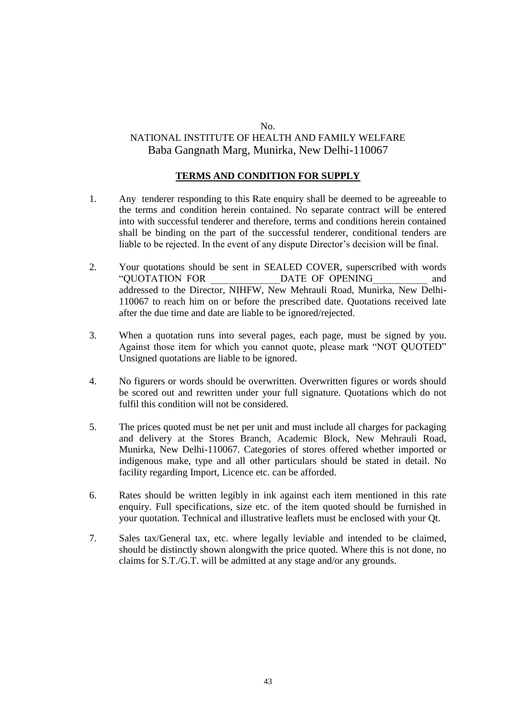#### **TERMS AND CONDITION FOR SUPPLY**

- 1. Any tenderer responding to this Rate enquiry shall be deemed to be agreeable to the terms and condition herein contained. No separate contract will be entered into with successful tenderer and therefore, terms and conditions herein contained shall be binding on the part of the successful tenderer, conditional tenders are liable to be rejected. In the event of any dispute Director's decision will be final.
- 2. Your quotations should be sent in SEALED COVER, superscribed with words "QUOTATION FOR \_\_\_\_\_\_\_\_\_\_\_\_\_\_DATE OF OPENING\_\_\_\_\_\_\_\_\_\_\_ and addressed to the Director, NIHFW, New Mehrauli Road, Munirka, New Delhi-110067 to reach him on or before the prescribed date. Quotations received late after the due time and date are liable to be ignored/rejected.
- 3. When a quotation runs into several pages, each page, must be signed by you. Against those item for which you cannot quote, please mark "NOT QUOTED" Unsigned quotations are liable to be ignored.
- 4. No figurers or words should be overwritten. Overwritten figures or words should be scored out and rewritten under your full signature. Quotations which do not fulfil this condition will not be considered.
- 5. The prices quoted must be net per unit and must include all charges for packaging and delivery at the Stores Branch, Academic Block, New Mehrauli Road, Munirka, New Delhi-110067. Categories of stores offered whether imported or indigenous make, type and all other particulars should be stated in detail. No facility regarding Import, Licence etc. can be afforded.
- 6. Rates should be written legibly in ink against each item mentioned in this rate enquiry. Full specifications, size etc. of the item quoted should be furnished in your quotation. Technical and illustrative leaflets must be enclosed with your Qt.
- 7. Sales tax/General tax, etc. where legally leviable and intended to be claimed, should be distinctly shown alongwith the price quoted. Where this is not done, no claims for S.T./G.T. will be admitted at any stage and/or any grounds.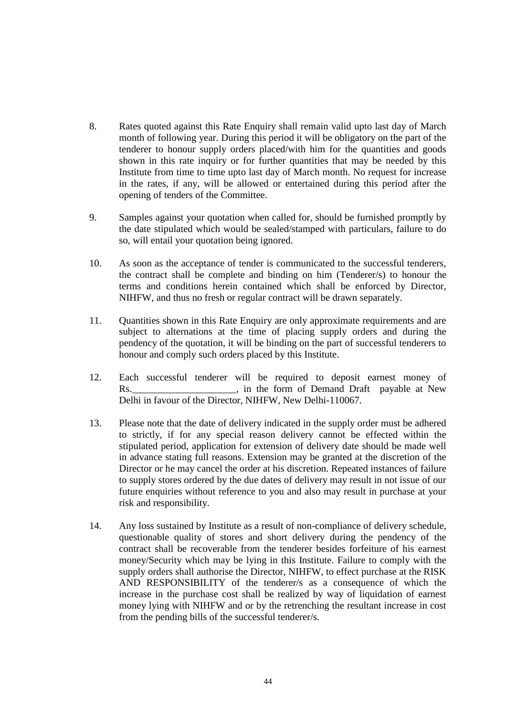- 8. Rates quoted against this Rate Enquiry shall remain valid upto last day of March month of following year. During this period it will be obligatory on the part of the tenderer to honour supply orders placed/with him for the quantities and goods shown in this rate inquiry or for further quantities that may be needed by this Institute from time to time upto last day of March month. No request for increase in the rates, if any, will be allowed or entertained during this period after the opening of tenders of the Committee.
- 9. Samples against your quotation when called for, should be furnished promptly by the date stipulated which would be sealed/stamped with particulars, failure to do so, will entail your quotation being ignored.
- 10. As soon as the acceptance of tender is communicated to the successful tenderers, the contract shall be complete and binding on him (Tenderer/s) to honour the terms and conditions herein contained which shall be enforced by Director, NIHFW, and thus no fresh or regular contract will be drawn separately.
- 11. Quantities shown in this Rate Enquiry are only approximate requirements and are subject to alternations at the time of placing supply orders and during the pendency of the quotation, it will be binding on the part of successful tenderers to honour and comply such orders placed by this Institute.
- 12. Each successful tenderer will be required to deposit earnest money of Rs. The form of Demand Draft payable at New Delhi in favour of the Director, NIHFW, New Delhi-110067.
- 13. Please note that the date of delivery indicated in the supply order must be adhered to strictly, if for any special reason delivery cannot be effected within the stipulated period, application for extension of delivery date should be made well in advance stating full reasons. Extension may be granted at the discretion of the Director or he may cancel the order at his discretion. Repeated instances of failure to supply stores ordered by the due dates of delivery may result in not issue of our future enquiries without reference to you and also may result in purchase at your risk and responsibility.
- 14. Any loss sustained by Institute as a result of non-compliance of delivery schedule, questionable quality of stores and short delivery during the pendency of the contract shall be recoverable from the tenderer besides forfeiture of his earnest money/Security which may be lying in this Institute. Failure to comply with the supply orders shall authorise the Director, NIHFW, to effect purchase at the RISK AND RESPONSIBILITY of the tenderer/s as a consequence of which the increase in the purchase cost shall be realized by way of liquidation of earnest money lying with NIHFW and or by the retrenching the resultant increase in cost from the pending bills of the successful tenderer/s.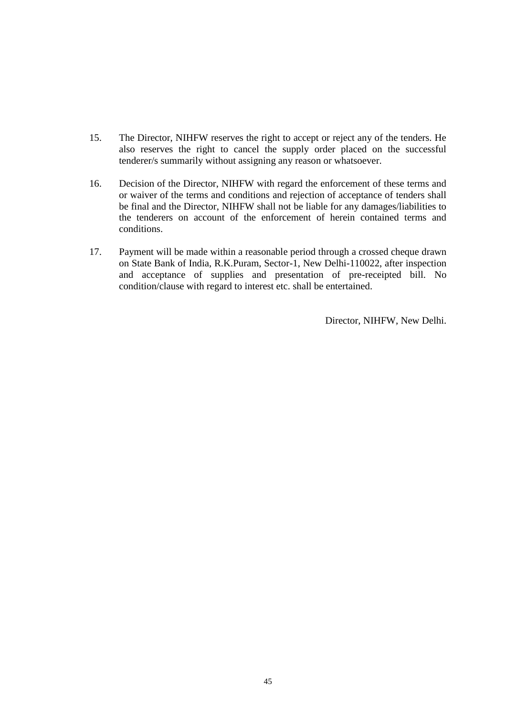- 15. The Director, NIHFW reserves the right to accept or reject any of the tenders. He also reserves the right to cancel the supply order placed on the successful tenderer/s summarily without assigning any reason or whatsoever.
- 16. Decision of the Director, NIHFW with regard the enforcement of these terms and or waiver of the terms and conditions and rejection of acceptance of tenders shall be final and the Director, NIHFW shall not be liable for any damages/liabilities to the tenderers on account of the enforcement of herein contained terms and conditions.
- 17. Payment will be made within a reasonable period through a crossed cheque drawn on State Bank of India, R.K.Puram, Sector-1, New Delhi-110022, after inspection and acceptance of supplies and presentation of pre-receipted bill. No condition/clause with regard to interest etc. shall be entertained.

Director, NIHFW, New Delhi.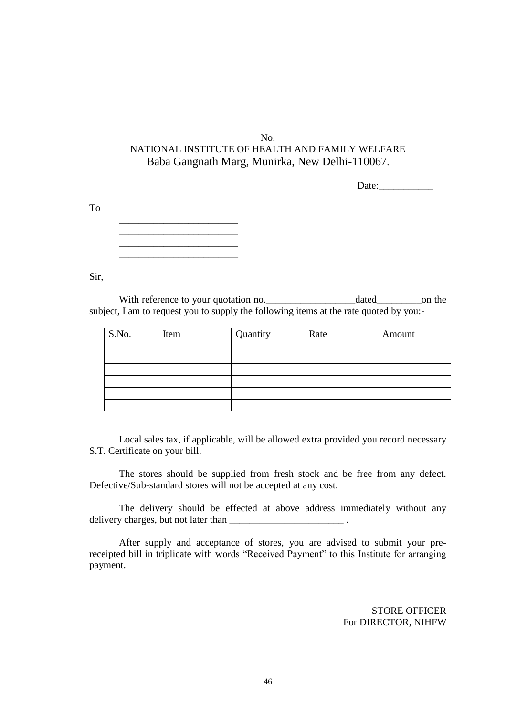Date:

| --- |  |  |
|-----|--|--|
|     |  |  |

Sir,

To

With reference to your quotation no.\_\_\_\_\_\_\_\_\_\_\_\_\_\_\_\_\_\_dated\_\_\_\_\_\_\_\_\_on the subject, I am to request you to supply the following items at the rate quoted by you:-

| S.No. | Item | Quantity | Rate | Amount |
|-------|------|----------|------|--------|
|       |      |          |      |        |
|       |      |          |      |        |
|       |      |          |      |        |
|       |      |          |      |        |
|       |      |          |      |        |
|       |      |          |      |        |

Local sales tax, if applicable, will be allowed extra provided you record necessary S.T. Certificate on your bill.

The stores should be supplied from fresh stock and be free from any defect. Defective/Sub-standard stores will not be accepted at any cost.

The delivery should be effected at above address immediately without any delivery charges, but not later than \_\_\_\_\_\_\_\_\_\_\_\_\_\_\_\_\_\_\_\_\_\_\_ .

After supply and acceptance of stores, you are advised to submit your prereceipted bill in triplicate with words "Received Payment" to this Institute for arranging payment.

> STORE OFFICER For DIRECTOR, NIHFW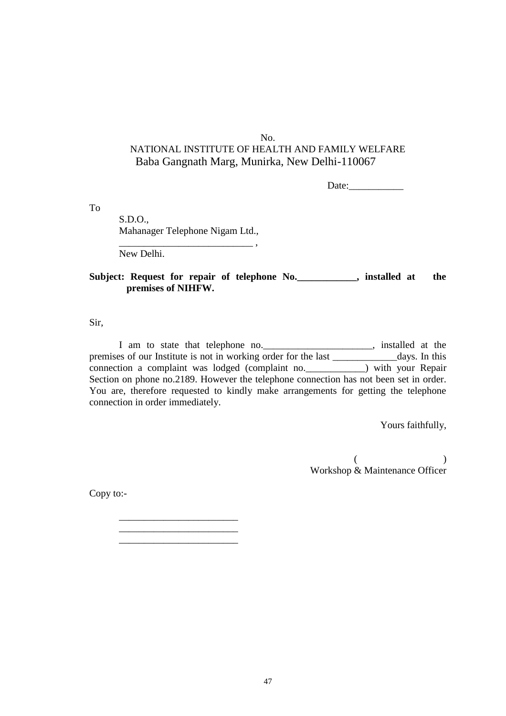Date:

To

S.D.O., Mahanager Telephone Nigam Ltd.,

\_\_\_\_\_\_\_\_\_\_\_\_\_\_\_\_\_\_\_\_\_\_\_\_

\_\_\_\_\_\_\_\_\_\_\_\_\_\_\_\_\_\_\_\_\_\_\_\_

New Delhi.

### Subject: Request for repair of telephone No. **.** installed at the **premises of NIHFW.**

 $\overline{\phantom{a}}$  ,

Sir,

I am to state that telephone no.\_\_\_\_\_\_\_\_\_\_\_\_\_\_\_\_\_\_\_\_\_\_, installed at the premises of our Institute is not in working order for the last \_\_\_\_\_\_\_\_\_\_\_\_\_days. In this connection a complaint was lodged (complaint no.  $\overline{\hspace{1cm}}$ ) with your Repair Section on phone no.2189. However the telephone connection has not been set in order. You are, therefore requested to kindly make arrangements for getting the telephone connection in order immediately.

Yours faithfully,

 $($  ) Workshop & Maintenance Officer

Copy to:-

47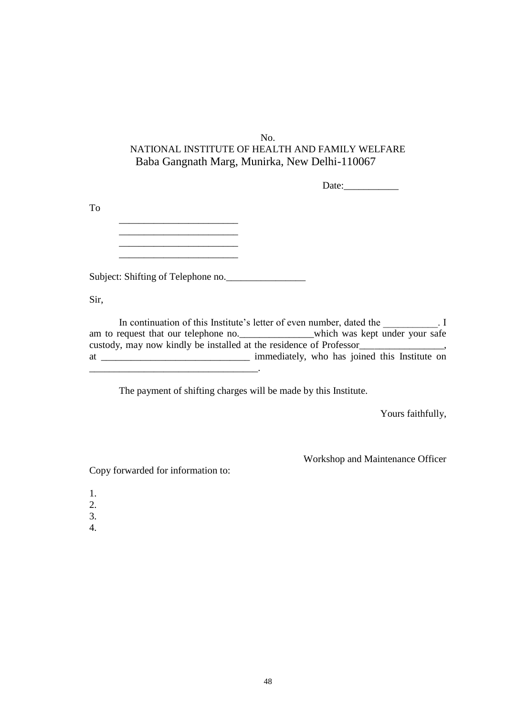Date:

To

 $\frac{1}{2}$  ,  $\frac{1}{2}$  ,  $\frac{1}{2}$  ,  $\frac{1}{2}$  ,  $\frac{1}{2}$  ,  $\frac{1}{2}$  ,  $\frac{1}{2}$  ,  $\frac{1}{2}$  ,  $\frac{1}{2}$  ,  $\frac{1}{2}$  ,  $\frac{1}{2}$  ,  $\frac{1}{2}$  ,  $\frac{1}{2}$  ,  $\frac{1}{2}$  ,  $\frac{1}{2}$  ,  $\frac{1}{2}$  ,  $\frac{1}{2}$  ,  $\frac{1}{2}$  ,  $\frac{1$  $\mathcal{L}_\text{max}$ 

Subject: Shifting of Telephone no.\_\_\_\_\_\_\_\_\_\_\_\_\_\_\_\_

Sir,

In continuation of this Institute's letter of even number, dated the  $\qquad \qquad$ . I am to request that our telephone no.\_\_\_\_\_\_\_\_\_\_\_\_which was kept under your safe custody, may now kindly be installed at the residence of Professor\_\_\_\_\_\_\_\_\_\_\_\_\_\_\_\_\_, at \_\_\_\_\_\_\_\_\_\_\_\_\_\_\_\_\_\_\_\_\_\_\_\_\_\_\_\_\_\_ immediately, who has joined this Institute on \_\_\_\_\_\_\_\_\_\_\_\_\_\_\_\_\_\_\_\_\_\_\_\_\_\_\_\_\_\_\_\_\_\_.

The payment of shifting charges will be made by this Institute.

Yours faithfully,

Workshop and Maintenance Officer

Copy forwarded for information to:

- 1.
- 2.
- 3.
- 4.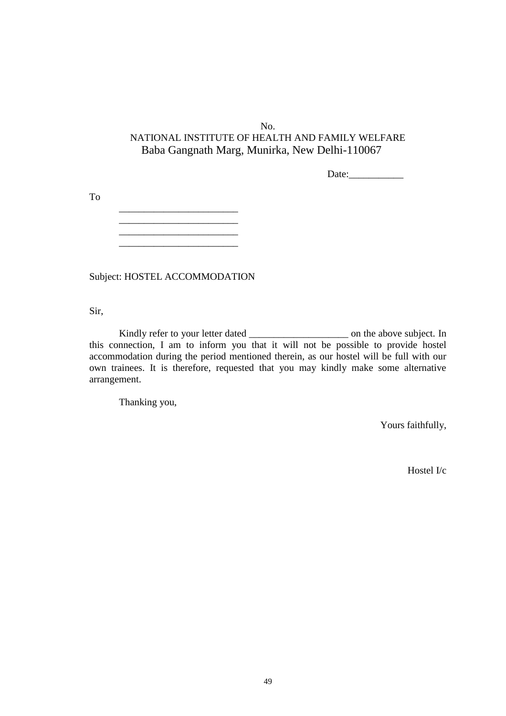Date:

To

\_\_\_\_\_\_\_\_\_\_\_\_\_\_\_\_\_\_\_\_\_\_\_\_ \_\_\_\_\_\_\_\_\_\_\_\_\_\_\_\_\_\_\_\_\_\_\_\_ \_\_\_\_\_\_\_\_\_\_\_\_\_\_\_\_\_\_\_\_\_\_\_\_

Subject: HOSTEL ACCOMMODATION

Sir,

Kindly refer to your letter dated \_\_\_\_\_\_\_\_\_\_\_\_\_\_\_\_\_\_\_\_ on the above subject. In this connection, I am to inform you that it will not be possible to provide hostel accommodation during the period mentioned therein, as our hostel will be full with our own trainees. It is therefore, requested that you may kindly make some alternative arrangement.

Thanking you,

Yours faithfully,

Hostel I/c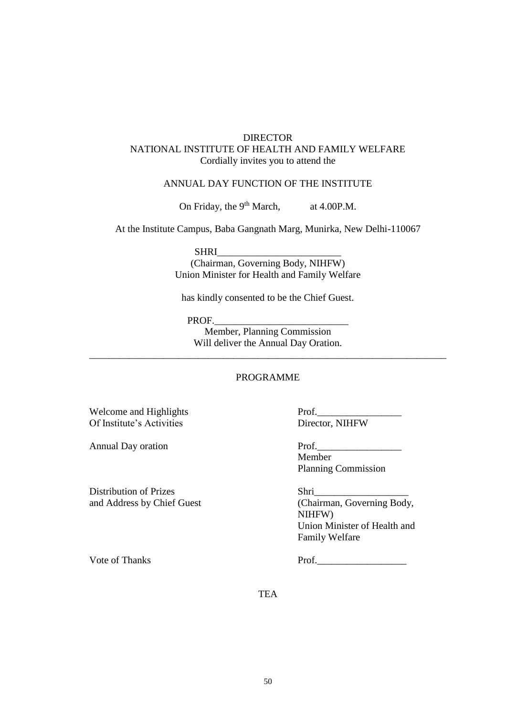### DIRECTOR NATIONAL INSTITUTE OF HEALTH AND FAMILY WELFARE Cordially invites you to attend the

#### ANNUAL DAY FUNCTION OF THE INSTITUTE

On Friday, the 9<sup>th</sup> March, at 4.00P.M.

At the Institute Campus, Baba Gangnath Marg, Munirka, New Delhi-110067

SHRI\_\_\_\_\_\_\_\_\_\_\_\_\_\_\_\_\_\_\_\_\_\_\_\_\_

(Chairman, Governing Body, NIHFW) Union Minister for Health and Family Welfare

has kindly consented to be the Chief Guest.

PROF.

Member, Planning Commission Will deliver the Annual Day Oration.

\_\_\_\_\_\_\_\_\_\_\_\_\_\_\_\_\_\_\_\_\_\_\_\_\_\_\_\_\_\_\_\_\_\_\_\_\_\_\_\_\_\_\_\_\_\_\_\_\_\_\_\_\_\_\_\_\_\_\_\_\_\_\_\_\_\_\_\_\_\_\_\_

### PROGRAMME

Welcome and Highlights Prof. Of Institute's Activities Director, NIHFW

Annual Day oration Prof.

Distribution of Prizes Shri\_\_\_\_\_\_\_\_\_\_\_\_\_\_\_\_\_\_\_

Member Planning Commission

and Address by Chief Guest (Chairman, Governing Body, NIHFW) Union Minister of Health and Family Welfare

Vote of Thanks Prof.

**TEA**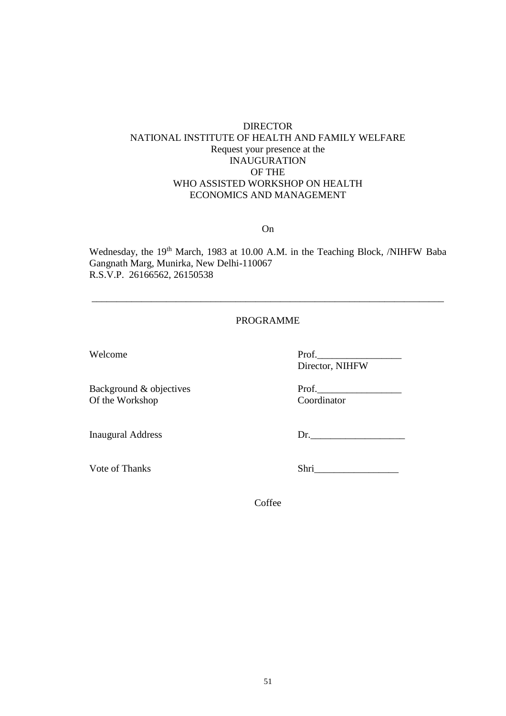### DIRECTOR NATIONAL INSTITUTE OF HEALTH AND FAMILY WELFARE Request your presence at the INAUGURATION OF THE WHO ASSISTED WORKSHOP ON HEALTH ECONOMICS AND MANAGEMENT

### On

Wednesday, the 19<sup>th</sup> March, 1983 at 10.00 A.M. in the Teaching Block, /NIHFW Baba Gangnath Marg, Munirka, New Delhi-110067 R.S.V.P. 26166562, 26150538

### PROGRAMME

\_\_\_\_\_\_\_\_\_\_\_\_\_\_\_\_\_\_\_\_\_\_\_\_\_\_\_\_\_\_\_\_\_\_\_\_\_\_\_\_\_\_\_\_\_\_\_\_\_\_\_\_\_\_\_\_\_\_\_\_\_\_\_\_\_\_\_\_\_\_\_

Background & objectives Prof. Of the Workshop Coordinator

Welcome Prof. Director, NIHFW

Inaugural Address Dr.

Vote of Thanks Shri

**Coffee**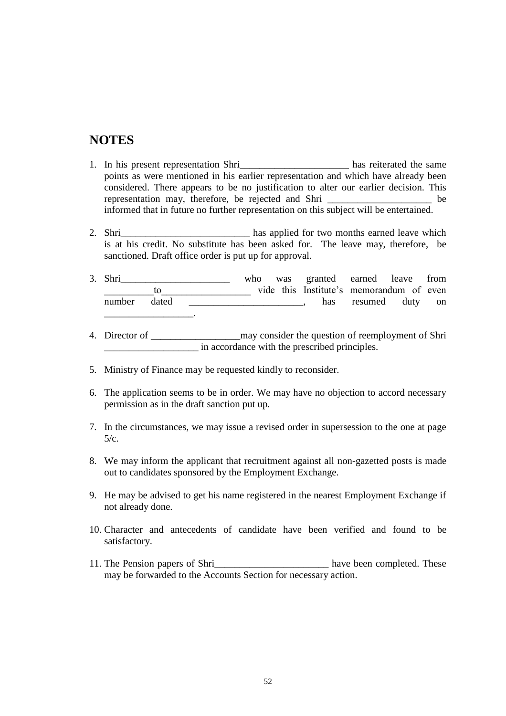# **NOTES**

- 1. In his present representation Shri has reiterated the same points as were mentioned in his earlier representation and which have already been considered. There appears to be no justification to alter our earlier decision. This representation may, therefore, be rejected and Shri \_\_\_\_\_\_\_\_\_\_\_\_\_\_\_\_\_\_\_\_\_ be informed that in future no further representation on this subject will be entertained.
- 2. Shri is at his credit. No substitute has been asked for. The leave may, therefore, be sanctioned. Draft office order is put up for approval.
- 3. Shri who was granted earned leave from to vide this Institute's memorandum of even number dated \_\_\_\_\_\_\_\_\_\_\_\_\_\_\_\_\_\_\_\_, has resumed duty on
- 4. Director of \_\_\_\_\_\_\_\_\_\_\_\_\_\_\_\_\_\_may consider the question of reemployment of Shri \_\_\_\_\_\_\_\_\_\_\_\_\_\_\_\_\_\_\_ in accordance with the prescribed principles.
- 5. Ministry of Finance may be requested kindly to reconsider.
- 6. The application seems to be in order. We may have no objection to accord necessary permission as in the draft sanction put up.
- 7. In the circumstances, we may issue a revised order in supersession to the one at page 5/c.
- 8. We may inform the applicant that recruitment against all non-gazetted posts is made out to candidates sponsored by the Employment Exchange.
- 9. He may be advised to get his name registered in the nearest Employment Exchange if not already done.
- 10. Character and antecedents of candidate have been verified and found to be satisfactory.
- 11. The Pension papers of Shri<sup>ng</sup> the second papers of several papers of  $\mu$  have been completed. These may be forwarded to the Accounts Section for necessary action.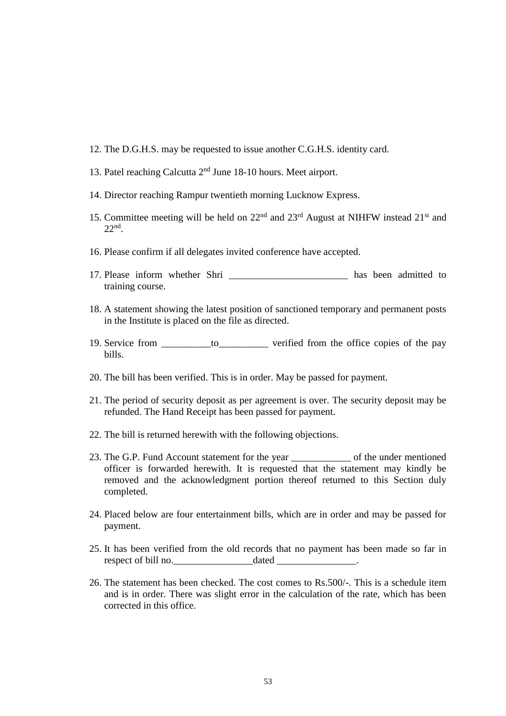- 12. The D.G.H.S. may be requested to issue another C.G.H.S. identity card.
- 13. Patel reaching Calcutta 2nd June 18-10 hours. Meet airport.
- 14. Director reaching Rampur twentieth morning Lucknow Express.
- 15. Committee meeting will be held on  $22<sup>nd</sup>$  and  $23<sup>rd</sup>$  August at NIHFW instead  $21<sup>st</sup>$  and 22nd .
- 16. Please confirm if all delegates invited conference have accepted.
- 17. Please inform whether Shri has been admitted to training course.
- 18. A statement showing the latest position of sanctioned temporary and permanent posts in the Institute is placed on the file as directed.
- 19. Service from  $\qquad \qquad$  to  $\qquad \qquad$  verified from the office copies of the pay bills.
- 20. The bill has been verified. This is in order. May be passed for payment.
- 21. The period of security deposit as per agreement is over. The security deposit may be refunded. The Hand Receipt has been passed for payment.
- 22. The bill is returned herewith with the following objections.
- 23. The G.P. Fund Account statement for the year of the under mentioned officer is forwarded herewith. It is requested that the statement may kindly be removed and the acknowledgment portion thereof returned to this Section duly completed.
- 24. Placed below are four entertainment bills, which are in order and may be passed for payment.
- 25. It has been verified from the old records that no payment has been made so far in respect of bill no. dated
- 26. The statement has been checked. The cost comes to Rs.500/-. This is a schedule item and is in order. There was slight error in the calculation of the rate, which has been corrected in this office.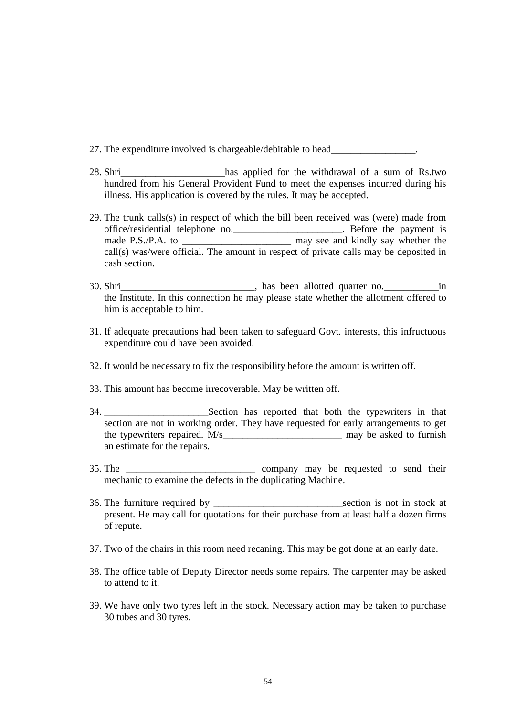- 27. The expenditure involved is chargeable/debitable to head\_\_\_\_\_\_\_\_\_\_\_\_\_\_\_\_\_\_\_\_
- 28. Shri\_\_\_\_\_\_\_\_\_\_\_\_\_\_\_\_\_\_\_\_\_has applied for the withdrawal of a sum of Rs.two hundred from his General Provident Fund to meet the expenses incurred during his illness. His application is covered by the rules. It may be accepted.
- 29. The trunk calls(s) in respect of which the bill been received was (were) made from office/residential telephone no.\_\_\_\_\_\_\_\_\_\_\_\_\_\_\_\_\_\_\_\_\_\_. Before the payment is made P.S./P.A. to \_\_\_\_\_\_\_\_\_\_\_\_\_\_\_\_\_\_\_\_\_\_\_\_\_ may see and kindly say whether the call(s) was/were official. The amount in respect of private calls may be deposited in cash section.
- 30. Shri\_\_\_\_\_\_\_\_\_\_\_\_\_\_\_\_\_\_\_\_\_\_\_\_\_\_\_, has been allotted quarter no.\_\_\_\_\_\_\_\_\_\_\_in the Institute. In this connection he may please state whether the allotment offered to him is acceptable to him.
- 31. If adequate precautions had been taken to safeguard Govt. interests, this infructuous expenditure could have been avoided.
- 32. It would be necessary to fix the responsibility before the amount is written off.
- 33. This amount has become irrecoverable. May be written off.
- 34. \_\_\_\_\_\_\_\_\_\_\_\_\_\_\_\_\_\_\_\_\_Section has reported that both the typewriters in that section are not in working order. They have requested for early arrangements to get the typewriters repaired. M/s\_\_\_\_\_\_\_\_\_\_\_\_\_\_\_\_\_\_\_\_\_\_\_\_ may be asked to furnish an estimate for the repairs.
- 35. The \_\_\_\_\_\_\_\_\_\_\_\_\_\_\_\_\_\_\_\_\_\_\_\_\_\_ company may be requested to send their mechanic to examine the defects in the duplicating Machine.
- 36. The furniture required by example of the section is not in stock at present. He may call for quotations for their purchase from at least half a dozen firms of repute.
- 37. Two of the chairs in this room need recaning. This may be got done at an early date.
- 38. The office table of Deputy Director needs some repairs. The carpenter may be asked to attend to it.
- 39. We have only two tyres left in the stock. Necessary action may be taken to purchase 30 tubes and 30 tyres.